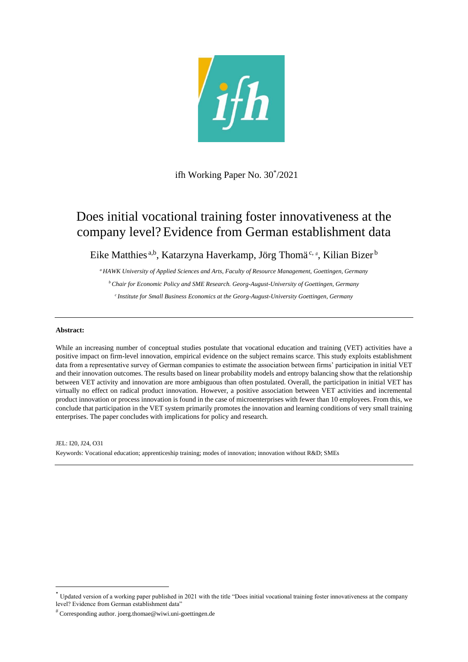

ifh Working Paper No. 30\* /2021

# Does initial vocational training foster innovativeness at the company level?Evidence from German establishment data

Eike Matthies<sup>a,b</sup>, Katarzyna Haverkamp, Jörg Thomä<sup>c,#</sup>, Kilian Bizer<sup>b</sup>

*<sup>a</sup>HAWK University of Applied Sciences and Arts, Faculty of Resource Management, Goettingen, Germany*

*<sup>b</sup>Chair for Economic Policy and SME Research. Georg-August-University of Goettingen, Germany*

*<sup>c</sup>Institute for Small Business Economics at the Georg-August-University Goettingen, Germany*

# **Abstract:**

**.** 

While an increasing number of conceptual studies postulate that vocational education and training (VET) activities have a positive impact on firm-level innovation, empirical evidence on the subject remains scarce. This study exploits establishment data from a representative survey of German companies to estimate the association between firms' participation in initial VET and their innovation outcomes. The results based on linear probability models and entropy balancing show that the relationship between VET activity and innovation are more ambiguous than often postulated. Overall, the participation in initial VET has virtually no effect on radical product innovation. However, a positive association between VET activities and incremental product innovation or process innovation is found in the case of microenterprises with fewer than 10 employees. From this, we conclude that participation in the VET system primarily promotes the innovation and learning conditions of very small training enterprises. The paper concludes with implications for policy and research.

JEL: I20, J24, O31 Keywords: Vocational education; apprenticeship training; modes of innovation; innovation without R&D; SMEs

<sup>\*</sup> Updated version of a working paper published in 2021 with the title "Does initial vocational training foster innovativeness at the company level? Evidence from German establishment data"

Corresponding author. joerg.thomae@wiwi.uni-goettingen.de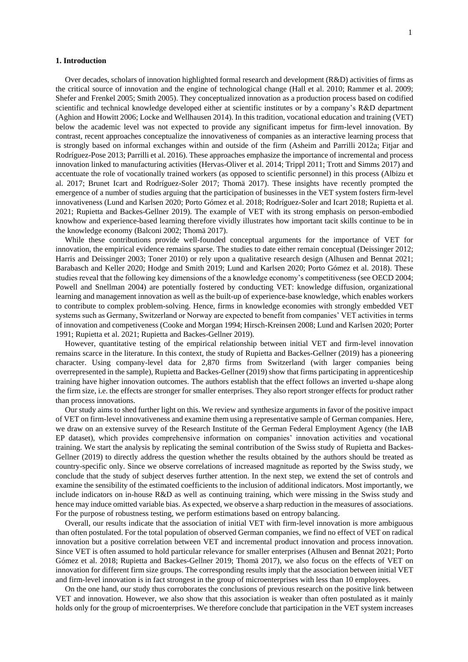## **1. Introduction**

Over decades, scholars of innovation highlighted formal research and development (R&D) activities of firms as the critical source of innovation and the engine of technological change (Hall et al. 2010; Rammer et al. 2009; Shefer and Frenkel 2005; Smith 2005). They conceptualized innovation as a production process based on codified scientific and technical knowledge developed either at scientific institutes or by a company's R&D department (Aghion and Howitt 2006; Locke and Wellhausen 2014). In this tradition, vocational education and training (VET) below the academic level was not expected to provide any significant impetus for firm-level innovation. By contrast, recent approaches conceptualize the innovativeness of companies as an interactive learning process that is strongly based on informal exchanges within and outside of the firm (Asheim and Parrilli 2012a; Fitiar and Rodríguez-Pose 2013; Parrilli et al. 2016). These approaches emphasize the importance of incremental and process innovation linked to manufacturing activities (Hervas-Oliver et al. 2014; Trippl 2011; Trott and Simms 2017) and accentuate the role of vocationally trained workers (as opposed to scientific personnel) in this process (Albizu et al. 2017; Brunet Icart and Rodríguez-Soler 2017; Thomä 2017). These insights have recently prompted the emergence of a number of studies arguing that the participation of businesses in the VET system fosters firm-level innovativeness (Lund and Karlsen 2020; Porto Gómez et al. 2018; Rodríguez-Soler and Icart 2018; Rupietta et al. 2021; Rupietta and Backes-Gellner 2019). The example of VET with its strong emphasis on person-embodied knowhow and experience-based learning therefore vividly illustrates how important tacit skills continue to be in the knowledge economy (Balconi 2002; Thomä 2017).

While these contributions provide well-founded conceptual arguments for the importance of VET for innovation, the empirical evidence remains sparse. The studies to date either remain conceptual (Deissinger 2012; Harris and Deissinger 2003; Toner 2010) or rely upon a qualitative research design (Alhusen and Bennat 2021; Barabasch and Keller 2020; Hodge and Smith 2019; Lund and Karlsen 2020; Porto Gómez et al. 2018). These studies reveal that the following key dimensions of the a knowledge economy's competitiveness (see OECD 2004; Powell and Snellman 2004) are potentially fostered by conducting VET: knowledge diffusion, organizational learning and management innovation as well as the built-up of experience-base knowledge, which enables workers to contribute to complex problem-solving. Hence, firms in knowledge economies with strongly embedded VET systems such as Germany, Switzerland or Norway are expected to benefit from companies' VET activities in terms of innovation and competiveness (Cooke and Morgan 1994; Hirsch-Kreinsen 2008; Lund and Karlsen 2020; Porter 1991; Rupietta et al. 2021; Rupietta and Backes-Gellner 2019).

However, quantitative testing of the empirical relationship between initial VET and firm-level innovation remains scarce in the literature. In this context, the study of Rupietta and Backes-Gellner (2019) has a pioneering character. Using company-level data for 2,870 firms from Switzerland (with larger companies being overrepresented in the sample), Rupietta and Backes-Gellner (2019) show that firms participating in apprenticeship training have higher innovation outcomes. The authors establish that the effect follows an inverted u-shape along the firm size, i.e. the effects are stronger for smaller enterprises. They also report stronger effects for product rather than process innovations.

Our study aims to shed further light on this. We review and synthesize arguments in favor of the positive impact of VET on firm-level innovativeness and examine them using a representative sample of German companies. Here, we draw on an extensive survey of the Research Institute of the German Federal Employment Agency (the IAB EP dataset), which provides comprehensive information on companies' innovation activities and vocational training. We start the analysis by replicating the seminal contribution of the Swiss study of Rupietta and Backes-Gellner (2019) to directly address the question whether the results obtained by the authors should be treated as country-specific only. Since we observe correlations of increased magnitude as reported by the Swiss study, we conclude that the study of subject deserves further attention. In the next step, we extend the set of controls and examine the sensibility of the estimated coefficients to the inclusion of additional indicators. Most importantly, we include indicators on in-house R&D as well as continuing training, which were missing in the Swiss study and hence may induce omitted variable bias. As expected, we observe a sharp reduction in the measures of associations. For the purpose of robustness testing, we perform estimations based on entropy balancing.

Overall, our results indicate that the association of initial VET with firm-level innovation is more ambiguous than often postulated. For the total population of observed German companies, we find no effect of VET on radical innovation but a positive correlation between VET and incremental product innovation and process innovation. Since VET is often assumed to hold particular relevance for smaller enterprises (Alhusen and Bennat 2021; Porto Gómez et al. 2018; Rupietta and Backes-Gellner 2019; Thomä 2017), we also focus on the effects of VET on innovation for different firm size groups. The corresponding results imply that the association between initial VET and firm-level innovation is in fact strongest in the group of microenterprises with less than 10 employees.

On the one hand, our study thus corroborates the conclusions of previous research on the positive link between VET and innovation. However, we also show that this association is weaker than often postulated as it mainly holds only for the group of microenterprises. We therefore conclude that participation in the VET system increases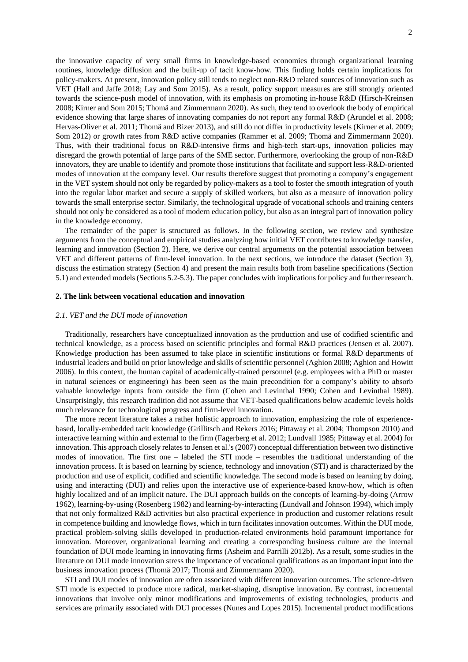the innovative capacity of very small firms in knowledge-based economies through organizational learning routines, knowledge diffusion and the built-up of tacit know-how. This finding holds certain implications for policy-makers. At present, innovation policy still tends to neglect non-R&D related sources of innovation such as VET (Hall and Jaffe 2018; Lay and Som 2015). As a result, policy support measures are still strongly oriented towards the science-push model of innovation, with its emphasis on promoting in-house R&D (Hirsch-Kreinsen 2008; Kirner and Som 2015; Thomä and Zimmermann 2020). As such, they tend to overlook the body of empirical evidence showing that large shares of innovating companies do not report any formal R&D (Arundel et al. 2008; Hervas-Oliver et al. 2011; Thomä and Bizer 2013), and still do not differ in productivity levels (Kirner et al. 2009; Som 2012) or growth rates from R&D active companies (Rammer et al. 2009; Thomä and Zimmermann 2020). Thus, with their traditional focus on R&D-intensive firms and high-tech start-ups, innovation policies may disregard the growth potential of large parts of the SME sector. Furthermore, overlooking the group of non-R&D innovators, they are unable to identify and promote those institutions that facilitate and support less-R&D-oriented modes of innovation at the company level. Our results therefore suggest that promoting a company's engagement in the VET system should not only be regarded by policy-makers as a tool to foster the smooth integration of youth into the regular labor market and secure a supply of skilled workers, but also as a measure of innovation policy towards the small enterprise sector. Similarly, the technological upgrade of vocational schools and training centers should not only be considered as a tool of modern education policy, but also as an integral part of innovation policy in the knowledge economy.

The remainder of the paper is structured as follows. In the following section, we review and synthesize arguments from the conceptual and empirical studies analyzing how initial VET contributes to knowledge transfer, learning and innovation (Section 2). Here, we derive our central arguments on the potential association between VET and different patterns of firm-level innovation. In the next sections, we introduce the dataset (Section 3), discuss the estimation strategy (Section 4) and present the main results both from baseline specifications (Section 5.1) and extended models (Sections 5.2-5.3). The paper concludes with implications for policy and further research.

## **2. The link between vocational education and innovation**

## *2.1. VET and the DUI mode of innovation*

Traditionally, researchers have conceptualized innovation as the production and use of codified scientific and technical knowledge, as a process based on scientific principles and formal R&D practices (Jensen et al. 2007). Knowledge production has been assumed to take place in scientific institutions or formal R&D departments of industrial leaders and build on prior knowledge and skills of scientific personnel (Aghion 2008; Aghion and Howitt 2006). In this context, the human capital of academically-trained personnel (e.g. employees with a PhD or master in natural sciences or engineering) has been seen as the main precondition for a company's ability to absorb valuable knowledge inputs from outside the firm (Cohen and Levinthal 1990; Cohen and Levinthal 1989). Unsurprisingly, this research tradition did not assume that VET-based qualifications below academic levels holds much relevance for technological progress and firm-level innovation.

The more recent literature takes a rather holistic approach to innovation, emphasizing the role of experiencebased, locally-embedded tacit knowledge (Grillitsch and Rekers 2016; Pittaway et al. 2004; Thompson 2010) and interactive learning within and external to the firm (Fagerberg et al. 2012; Lundvall 1985; Pittaway et al. 2004) for innovation. This approach closely relates to Jensen et al.'s (2007) conceptual differentiation between two distinctive modes of innovation. The first one – labeled the STI mode – resembles the traditional understanding of the innovation process. It is based on learning by science, technology and innovation (STI) and is characterized by the production and use of explicit, codified and scientific knowledge. The second mode is based on learning by doing, using and interacting (DUI) and relies upon the interactive use of experience-based know-how, which is often highly localized and of an implicit nature. The DUI approach builds on the concepts of learning-by-doing (Arrow 1962), learning-by-using (Rosenberg 1982) and learning-by-interacting (Lundvall and Johnson 1994), which imply that not only formalized R&D activities but also practical experience in production and customer relations result in competence building and knowledge flows, which in turn facilitates innovation outcomes. Within the DUI mode, practical problem-solving skills developed in production-related environments hold paramount importance for innovation. Moreover, organizational learning and creating a corresponding business culture are the internal foundation of DUI mode learning in innovating firms (Asheim and Parrilli 2012b). As a result, some studies in the literature on DUI mode innovation stress the importance of vocational qualifications as an important input into the business innovation process (Thomä 2017; Thomä and Zimmermann 2020).

STI and DUI modes of innovation are often associated with different innovation outcomes. The science-driven STI mode is expected to produce more radical, market-shaping, disruptive innovation. By contrast, incremental innovations that involve only minor modifications and improvements of existing technologies, products and services are primarily associated with DUI processes (Nunes and Lopes 2015). Incremental product modifications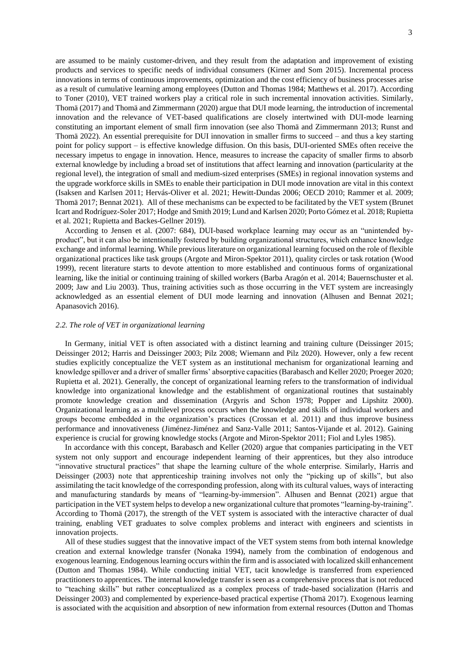are assumed to be mainly customer-driven, and they result from the adaptation and improvement of existing products and services to specific needs of individual consumers (Kirner and Som 2015). Incremental process innovations in terms of continuous improvements, optimization and the cost efficiency of business processes arise as a result of cumulative learning among employees (Dutton and Thomas 1984; Matthews et al. 2017). According to Toner (2010), VET trained workers play a critical role in such incremental innovation activities. Similarly, Thomä (2017) and Thomä and Zimmermann (2020) argue that DUI mode learning, the introduction of incremental innovation and the relevance of VET-based qualifications are closely intertwined with DUI-mode learning constituting an important element of small firm innovation (see also Thomä and Zimmermann 2013; Runst and Thomä 2022). An essential prerequisite for DUI innovation in smaller firms to succeed – and thus a key starting point for policy support – is effective knowledge diffusion. On this basis, DUI-oriented SMEs often receive the necessary impetus to engage in innovation. Hence, measures to increase the capacity of smaller firms to absorb external knowledge by including a broad set of institutions that affect learning and innovation (particularity at the regional level), the integration of small and medium-sized enterprises (SMEs) in regional innovation systems and the upgrade workforce skills in SMEs to enable their participation in DUI mode innovation are vital in this context (Isaksen and Karlsen 2011; Hervás-Oliver et al. 2021; Hewitt-Dundas 2006; OECD 2010; Rammer et al. 2009; Thomä 2017; Bennat 2021). All of these mechanisms can be expected to be facilitated by the VET system (Brunet Icart and Rodríguez-Soler 2017; Hodge and Smith 2019; Lund and Karlsen 2020; Porto Gómez et al. 2018; Rupietta et al. 2021; Rupietta and Backes-Gellner 2019).

According to Jensen et al. (2007: 684), DUI-based workplace learning may occur as an "unintended byproduct", but it can also be intentionally fostered by building organizational structures, which enhance knowledge exchange and informal learning. While previous literature on organizational learning focused on the role of flexible organizational practices like task groups (Argote and Miron-Spektor 2011), quality circles or task rotation (Wood 1999), recent literature starts to devote attention to more established and continuous forms of organizational learning, like the initial or continuing training of skilled workers (Barba Aragón et al. 2014; Bauernschuster et al. 2009; Jaw and Liu 2003). Thus, training activities such as those occurring in the VET system are increasingly acknowledged as an essential element of DUI mode learning and innovation (Alhusen and Bennat 2021; Apanasovich 2016).

#### *2.2. The role of VET in organizational learning*

In Germany, initial VET is often associated with a distinct learning and training culture (Deissinger 2015; Deissinger 2012; Harris and Deissinger 2003; Pilz 2008; Wiemann and Pilz 2020). However, only a few recent studies explicitly conceptualize the VET system as an institutional mechanism for organizational learning and knowledge spillover and a driver of smaller firms' absorptive capacities (Barabasch and Keller 2020; Proeger 2020; Rupietta et al. 2021). Generally, the concept of organizational learning refers to the transformation of individual knowledge into organizational knowledge and the establishment of organizational routines that sustainably promote knowledge creation and dissemination (Argyris and Schon 1978; Popper and Lipshitz 2000). Organizational learning as a multilevel process occurs when the knowledge and skills of individual workers and groups become embedded in the organization's practices (Crossan et al. 2011) and thus improve business performance and innovativeness (Jiménez-Jiménez and Sanz-Valle 2011; Santos-Vijande et al. 2012). Gaining experience is crucial for growing knowledge stocks (Argote and Miron-Spektor 2011; Fiol and Lyles 1985).

In accordance with this concept, Barabasch and Keller (2020) argue that companies participating in the VET system not only support and encourage independent learning of their apprentices, but they also introduce "innovative structural practices" that shape the learning culture of the whole enterprise. Similarly, Harris and Deissinger (2003) note that apprenticeship training involves not only the "picking up of skills", but also assimilating the tacit knowledge of the corresponding profession, along with its cultural values, ways of interacting and manufacturing standards by means of "learning-by-immersion". Alhusen and Bennat (2021) argue that participation in the VET system helps to develop a new organizational culture that promotes "learning-by-training". According to Thomä (2017), the strength of the VET system is associated with the interactive character of dual training, enabling VET graduates to solve complex problems and interact with engineers and scientists in innovation projects.

All of these studies suggest that the innovative impact of the VET system stems from both internal knowledge creation and external knowledge transfer (Nonaka 1994), namely from the combination of endogenous and exogenous learning. Endogenous learning occurs within the firm and is associated with localized skill enhancement (Dutton and Thomas 1984). While conducting initial VET, tacit knowledge is transferred from experienced practitioners to apprentices. The internal knowledge transfer is seen as a comprehensive process that is not reduced to "teaching skills" but rather conceptualized as a complex process of trade-based socialization (Harris and Deissinger 2003) and complemented by experience-based practical expertise (Thomä 2017). Exogenous learning is associated with the acquisition and absorption of new information from external resources (Dutton and Thomas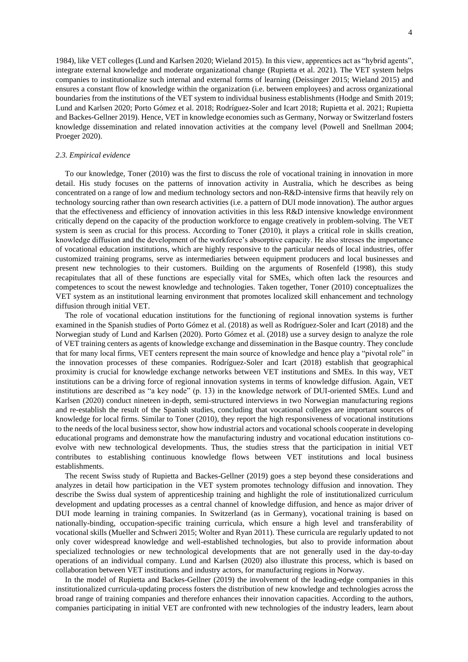1984), like VET colleges (Lund and Karlsen 2020; Wieland 2015). In this view, apprentices act as "hybrid agents", integrate external knowledge and moderate organizational change (Rupietta et al. 2021). The VET system helps companies to institutionalize such internal and external forms of learning (Deissinger 2015; Wieland 2015) and ensures a constant flow of knowledge within the organization (i.e. between employees) and across organizational boundaries from the institutions of the VET system to individual business establishments (Hodge and Smith 2019; Lund and Karlsen 2020; Porto Gómez et al. 2018; Rodríguez-Soler and Icart 2018; Rupietta et al. 2021; Rupietta and Backes-Gellner 2019). Hence, VET in knowledge economies such as Germany, Norway or Switzerland fosters knowledge dissemination and related innovation activities at the company level (Powell and Snellman 2004; Proeger 2020).

#### *2.3. Empirical evidence*

To our knowledge, Toner (2010) was the first to discuss the role of vocational training in innovation in more detail. His study focuses on the patterns of innovation activity in Australia, which he describes as being concentrated on a range of low and medium technology sectors and non-R&D-intensive firms that heavily rely on technology sourcing rather than own research activities (i.e. a pattern of DUI mode innovation). The author argues that the effectiveness and efficiency of innovation activities in this less R&D intensive knowledge environment critically depend on the capacity of the production workforce to engage creatively in problem-solving. The VET system is seen as crucial for this process. According to Toner (2010), it plays a critical role in skills creation, knowledge diffusion and the development of the workforce's absorptive capacity. He also stresses the importance of vocational education institutions, which are highly responsive to the particular needs of local industries, offer customized training programs, serve as intermediaries between equipment producers and local businesses and present new technologies to their customers. Building on the arguments of Rosenfeld (1998), this study recapitulates that all of these functions are especially vital for SMEs, which often lack the resources and competences to scout the newest knowledge and technologies. Taken together, Toner (2010) conceptualizes the VET system as an institutional learning environment that promotes localized skill enhancement and technology diffusion through initial VET.

The role of vocational education institutions for the functioning of regional innovation systems is further examined in the Spanish studies of Porto Gómez et al. (2018) as well as Rodríguez-Soler and Icart (2018) and the Norwegian study of Lund and Karlsen (2020). Porto Gómez et al. (2018) use a survey design to analyze the role of VET training centers as agents of knowledge exchange and dissemination in the Basque country. They conclude that for many local firms, VET centers represent the main source of knowledge and hence play a "pivotal role" in the innovation processes of these companies. Rodríguez-Soler and Icart (2018) establish that geographical proximity is crucial for knowledge exchange networks between VET institutions and SMEs. In this way, VET institutions can be a driving force of regional innovation systems in terms of knowledge diffusion. Again, VET institutions are described as "a key node" (p. 13) in the knowledge network of DUI-oriented SMEs. Lund and Karlsen (2020) conduct nineteen in-depth, semi-structured interviews in two Norwegian manufacturing regions and re-establish the result of the Spanish studies, concluding that vocational colleges are important sources of knowledge for local firms. Similar to Toner (2010), they report the high responsiveness of vocational institutions to the needs of the local business sector, show how industrial actors and vocational schools cooperate in developing educational programs and demonstrate how the manufacturing industry and vocational education institutions coevolve with new technological developments. Thus, the studies stress that the participation in initial VET contributes to establishing continuous knowledge flows between VET institutions and local business establishments.

The recent Swiss study of Rupietta and Backes-Gellner (2019) goes a step beyond these considerations and analyzes in detail how participation in the VET system promotes technology diffusion and innovation. They describe the Swiss dual system of apprenticeship training and highlight the role of institutionalized curriculum development and updating processes as a central channel of knowledge diffusion, and hence as major driver of DUI mode learning in training companies. In Switzerland (as in Germany), vocational training is based on nationally-binding, occupation-specific training curricula, which ensure a high level and transferability of vocational skills (Mueller and Schweri 2015; Wolter and Ryan 2011). These curricula are regularly updated to not only cover widespread knowledge and well-established technologies, but also to provide information about specialized technologies or new technological developments that are not generally used in the day-to-day operations of an individual company. Lund and Karlsen (2020) also illustrate this process, which is based on collaboration between VET institutions and industry actors, for manufacturing regions in Norway.

In the model of Rupietta and Backes-Gellner (2019) the involvement of the leading-edge companies in this institutionalized curricula-updating process fosters the distribution of new knowledge and technologies across the broad range of training companies and therefore enhances their innovation capacities. According to the authors, companies participating in initial VET are confronted with new technologies of the industry leaders, learn about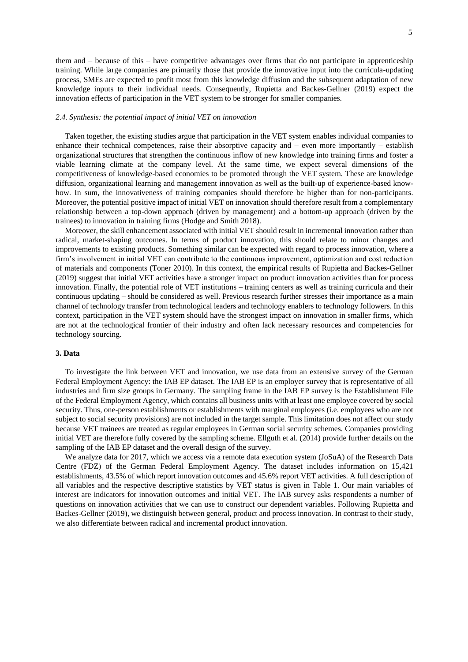them and – because of this – have competitive advantages over firms that do not participate in apprenticeship training. While large companies are primarily those that provide the innovative input into the curricula-updating process, SMEs are expected to profit most from this knowledge diffusion and the subsequent adaptation of new knowledge inputs to their individual needs. Consequently, Rupietta and Backes-Gellner (2019) expect the innovation effects of participation in the VET system to be stronger for smaller companies.

## *2.4. Synthesis: the potential impact of initial VET on innovation*

Taken together, the existing studies argue that participation in the VET system enables individual companies to enhance their technical competences, raise their absorptive capacity and – even more importantly – establish organizational structures that strengthen the continuous inflow of new knowledge into training firms and foster a viable learning climate at the company level. At the same time, we expect several dimensions of the competitiveness of knowledge-based economies to be promoted through the VET system. These are knowledge diffusion, organizational learning and management innovation as well as the built-up of experience-based knowhow. In sum, the innovativeness of training companies should therefore be higher than for non-participants. Moreover, the potential positive impact of initial VET on innovation should therefore result from a complementary relationship between a top-down approach (driven by management) and a bottom-up approach (driven by the trainees) to innovation in training firms (Hodge and Smith 2018).

Moreover, the skill enhancement associated with initial VET should result in incremental innovation rather than radical, market-shaping outcomes. In terms of product innovation, this should relate to minor changes and improvements to existing products. Something similar can be expected with regard to process innovation, where a firm's involvement in initial VET can contribute to the continuous improvement, optimization and cost reduction of materials and components (Toner 2010). In this context, the empirical results of Rupietta and Backes-Gellner (2019) suggest that initial VET activities have a stronger impact on product innovation activities than for process innovation. Finally, the potential role of VET institutions – training centers as well as training curricula and their continuous updating – should be considered as well. Previous research further stresses their importance as a main channel of technology transfer from technological leaders and technology enablers to technology followers. In this context, participation in the VET system should have the strongest impact on innovation in smaller firms, which are not at the technological frontier of their industry and often lack necessary resources and competencies for technology sourcing.

## **3. Data**

To investigate the link between VET and innovation, we use data from an extensive survey of the German Federal Employment Agency: the IAB EP dataset. The IAB EP is an employer survey that is representative of all industries and firm size groups in Germany. The sampling frame in the IAB EP survey is the Establishment File of the Federal Employment Agency, which contains all business units with at least one employee covered by social security. Thus, one-person establishments or establishments with marginal employees (i.e. employees who are not subject to social security provisions) are not included in the target sample. This limitation does not affect our study because VET trainees are treated as regular employees in German social security schemes. Companies providing initial VET are therefore fully covered by the sampling scheme. Ellguth et al. (2014) provide further details on the sampling of the IAB EP dataset and the overall design of the survey.

We analyze data for 2017, which we access via a remote data execution system (JoSuA) of the Research Data Centre (FDZ) of the German Federal Employment Agency. The dataset includes information on 15,421 establishments, 43.5% of which report innovation outcomes and 45.6% report VET activities. A full description of all variables and the respective descriptive statistics by VET status is given in Table 1. Our main variables of interest are indicators for innovation outcomes and initial VET. The IAB survey asks respondents a number of questions on innovation activities that we can use to construct our dependent variables. Following Rupietta and Backes-Gellner (2019), we distinguish between general, product and process innovation. In contrast to their study, we also differentiate between radical and incremental product innovation.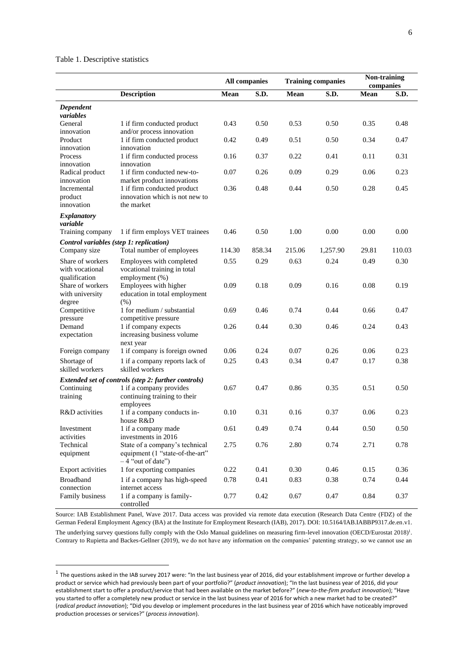# Table 1. Descriptive statistics

**.** 

|                                                         |                                                                                          |        | <b>All companies</b> |        | <b>Training companies</b> | <b>Non-training</b><br>companies |        |
|---------------------------------------------------------|------------------------------------------------------------------------------------------|--------|----------------------|--------|---------------------------|----------------------------------|--------|
|                                                         | <b>Description</b>                                                                       | Mean   | S.D.                 | Mean   | S.D.                      | Mean                             | S.D.   |
| Dependent<br>variables                                  |                                                                                          |        |                      |        |                           |                                  |        |
| General<br>innovation                                   | 1 if firm conducted product<br>and/or process innovation                                 | 0.43   | 0.50                 | 0.53   | 0.50                      | 0.35                             | 0.48   |
| Product<br>innovation                                   | 1 if firm conducted product<br>innovation                                                | 0.42   | 0.49                 | 0.51   | 0.50                      | 0.34                             | 0.47   |
| Process<br>innovation                                   | 1 if firm conducted process<br>innovation                                                | 0.16   | 0.37                 | 0.22   | 0.41                      | 0.11                             | 0.31   |
| Radical product<br>innovation                           | 1 if firm conducted new-to-<br>market product innovations                                | 0.07   | 0.26                 | 0.09   | 0.29                      | 0.06                             | 0.23   |
| Incremental<br>product<br>innovation                    | 1 if firm conducted product<br>innovation which is not new to<br>the market              | 0.36   | 0.48                 | 0.44   | 0.50                      | 0.28                             | 0.45   |
| <i>Explanatory</i><br>variable                          |                                                                                          |        |                      |        |                           |                                  |        |
| Training company                                        | 1 if firm employs VET trainees                                                           | 0.46   | 0.50                 | 1.00   | 0.00                      | 0.00                             | 0.00   |
| Control variables (step 1: replication)<br>Company size | Total number of employees                                                                | 114.30 | 858.34               | 215.06 | 1,257.90                  | 29.81                            | 110.03 |
| Share of workers<br>with vocational<br>qualification    | Employees with completed<br>vocational training in total<br>employment (%)               | 0.55   | 0.29                 | 0.63   | 0.24                      | 0.49                             | 0.30   |
| Share of workers<br>with university<br>degree           | Employees with higher<br>education in total employment<br>(% )                           | 0.09   | 0.18                 | 0.09   | 0.16                      | 0.08                             | 0.19   |
| Competitive<br>pressure                                 | 1 for medium / substantial<br>competitive pressure                                       | 0.69   | 0.46                 | 0.74   | 0.44                      | 0.66                             | 0.47   |
| Demand<br>expectation                                   | 1 if company expects<br>increasing business volume                                       | 0.26   | 0.44                 | 0.30   | 0.46                      | 0.24                             | 0.43   |
| Foreign company                                         | next year<br>1 if company is foreign owned                                               | 0.06   | 0.24                 | 0.07   | 0.26                      | 0.06                             | 0.23   |
| Shortage of<br>skilled workers                          | 1 if a company reports lack of<br>skilled workers                                        | 0.25   | 0.43                 | 0.34   | 0.47                      | 0.17                             | 0.38   |
|                                                         | Extended set of controls (step 2: further controls)                                      |        |                      |        |                           |                                  |        |
| Continuing<br>training                                  | 1 if a company provides<br>continuing training to their<br>employees                     | 0.67   | 0.47                 | 0.86   | 0.35                      | 0.51                             | 0.50   |
| R&D activities                                          | 1 if a company conducts in-<br>house R&D                                                 | 0.10   | 0.31                 | 0.16   | 0.37                      | 0.06                             | 0.23   |
| Investment<br>activities                                | 1 if a company made<br>investments in 2016                                               | 0.61   | 0.49                 | 0.74   | 0.44                      | 0.50                             | 0.50   |
| Technical<br>equipment                                  | State of a company's technical<br>equipment (1 "state-of-the-art"<br>$-4$ "out of date") | 2.75   | 0.76                 | 2.80   | 0.74                      | 2.71                             | 0.78   |
| <b>Export activities</b>                                | 1 for exporting companies                                                                | 0.22   | 0.41                 | 0.30   | 0.46                      | 0.15                             | 0.36   |
| <b>Broadband</b><br>connection                          | 1 if a company has high-speed<br>internet access                                         | 0.78   | 0.41                 | 0.83   | 0.38                      | 0.74                             | 0.44   |
| Family business                                         | 1 if a company is family-<br>controlled                                                  | 0.77   | 0.42                 | 0.67   | 0.47                      | 0.84                             | 0.37   |

Source: IAB Establishment Panel, Wave 2017. Data access was provided via remote data execution (Research Data Centre (FDZ) of the German Federal Employment Agency (BA) at the Institute for Employment Research (IAB), 2017). DOI: 10.5164/IAB.IABBP9317.de.en.v1. The underlying survey questions fully comply with the Oslo Manual guidelines on measuring firm-level innovation (OECD/Eurostat 2018)<sup>1</sup>. Contrary to Rupietta and Backes-Gellner (2019), we do not have any information on the companies' patenting strategy, so we cannot use an

 $^1$  The questions asked in the IAB survey 2017 were: "In the last business year of 2016, did your establishment improve or further develop a product or service which had previously been part of your portfolio?" (*product innovation*); "In the last business year of 2016, did your establishment start to offer a product/service that had been available on the market before?" (*new-to-the-firm product innovation*); "Have you started to offer a completely new product or service in the last business year of 2016 for which a new market had to be created?" (*radical product innovation*); "Did you develop or implement procedures in the last business year of 2016 which have noticeably improved production processes or services?" (*process innovation*).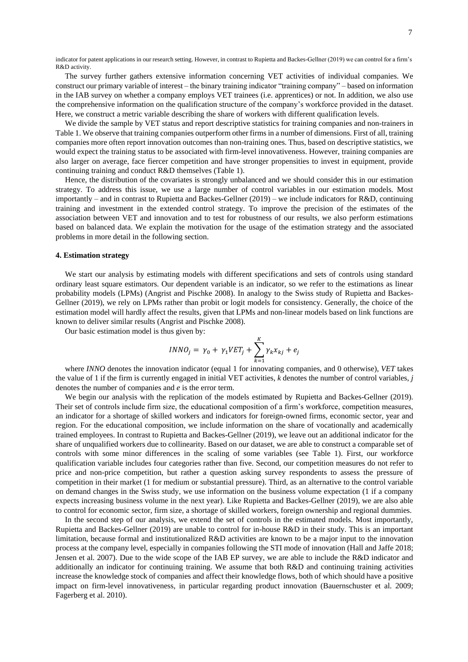indicator for patent applications in our research setting. However, in contrast to Rupietta and Backes-Gellner (2019) we can control for a firm's R&D activity.

The survey further gathers extensive information concerning VET activities of individual companies. We construct our primary variable of interest – the binary training indicator "training company" – based on information in the IAB survey on whether a company employs VET trainees (i.e. apprentices) or not. In addition, we also use the comprehensive information on the qualification structure of the company's workforce provided in the dataset. Here, we construct a metric variable describing the share of workers with different qualification levels.

We divide the sample by VET status and report descriptive statistics for training companies and non-trainers in Table 1. We observe that training companies outperform other firms in a number of dimensions. First of all, training companies more often report innovation outcomes than non-training ones. Thus, based on descriptive statistics, we would expect the training status to be associated with firm-level innovativeness. However, training companies are also larger on average, face fiercer competition and have stronger propensities to invest in equipment, provide continuing training and conduct R&D themselves (Table 1).

Hence, the distribution of the covariates is strongly unbalanced and we should consider this in our estimation strategy. To address this issue, we use a large number of control variables in our estimation models. Most importantly – and in contrast to Rupietta and Backes-Gellner (2019) – we include indicators for R&D, continuing training and investment in the extended control strategy. To improve the precision of the estimates of the association between VET and innovation and to test for robustness of our results, we also perform estimations based on balanced data. We explain the motivation for the usage of the estimation strategy and the associated problems in more detail in the following section.

## **4. Estimation strategy**

We start our analysis by estimating models with different specifications and sets of controls using standard ordinary least square estimators. Our dependent variable is an indicator, so we refer to the estimations as linear probability models (LPMs) (Angrist and Pischke 2008). In analogy to the Swiss study of Rupietta and Backes-Gellner (2019), we rely on LPMs rather than probit or logit models for consistency. Generally, the choice of the estimation model will hardly affect the results, given that LPMs and non-linear models based on link functions are known to deliver similar results (Angrist and Pischke 2008).

Our basic estimation model is thus given by:

$$
INNO_j = \gamma_0 + \gamma_1 VET_j + \sum_{k=1}^{K} \gamma_k x_{kj} + e_j
$$

where *INNO* denotes the innovation indicator (equal 1 for innovating companies, and 0 otherwise), *VET* takes the value of 1 if the firm is currently engaged in initial VET activities, *k* denotes the number of control variables, *j* denotes the number of companies and *e* is the error term.

We begin our analysis with the replication of the models estimated by Rupietta and Backes-Gellner (2019). Their set of controls include firm size, the educational composition of a firm's workforce, competition measures, an indicator for a shortage of skilled workers and indicators for foreign-owned firms, economic sector, year and region. For the educational composition, we include information on the share of vocationally and academically trained employees. In contrast to Rupietta and Backes-Gellner (2019), we leave out an additional indicator for the share of unqualified workers due to collinearity. Based on our dataset, we are able to construct a comparable set of controls with some minor differences in the scaling of some variables (see Table 1). First, our workforce qualification variable includes four categories rather than five. Second, our competition measures do not refer to price and non-price competition, but rather a question asking survey respondents to assess the pressure of competition in their market (1 for medium or substantial pressure). Third, as an alternative to the control variable on demand changes in the Swiss study, we use information on the business volume expectation (1 if a company expects increasing business volume in the next year). Like Rupietta and Backes-Gellner (2019), we are also able to control for economic sector, firm size, a shortage of skilled workers, foreign ownership and regional dummies.

In the second step of our analysis, we extend the set of controls in the estimated models. Most importantly, Rupietta and Backes-Gellner (2019) are unable to control for in-house R&D in their study. This is an important limitation, because formal and institutionalized R&D activities are known to be a major input to the innovation process at the company level, especially in companies following the STI mode of innovation (Hall and Jaffe 2018; Jensen et al. 2007). Due to the wide scope of the IAB EP survey, we are able to include the R&D indicator and additionally an indicator for continuing training. We assume that both R&D and continuing training activities increase the knowledge stock of companies and affect their knowledge flows, both of which should have a positive impact on firm-level innovativeness, in particular regarding product innovation (Bauernschuster et al. 2009; Fagerberg et al. 2010).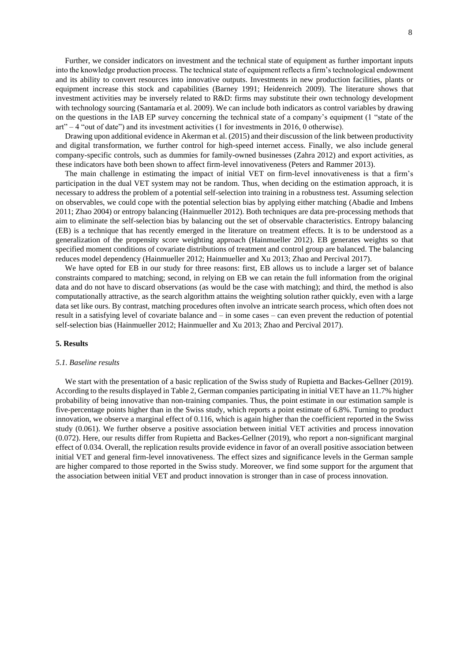Further, we consider indicators on investment and the technical state of equipment as further important inputs into the knowledge production process. The technical state of equipment reflects a firm's technological endowment and its ability to convert resources into innovative outputs. Investments in new production facilities, plants or equipment increase this stock and capabilities (Barney 1991; Heidenreich 2009). The literature shows that investment activities may be inversely related to R&D: firms may substitute their own technology development with technology sourcing (Santamaría et al. 2009). We can include both indicators as control variables by drawing on the questions in the IAB EP survey concerning the technical state of a company's equipment (1 "state of the art" – 4 "out of date") and its investment activities (1 for investments in 2016, 0 otherwise).

Drawing upon additional evidence in Akerman et al. (2015) and their discussion of the link between productivity and digital transformation, we further control for high-speed internet access. Finally, we also include general company-specific controls, such as dummies for family-owned businesses (Zahra 2012) and export activities, as these indicators have both been shown to affect firm-level innovativeness (Peters and Rammer 2013).

The main challenge in estimating the impact of initial VET on firm-level innovativeness is that a firm's participation in the dual VET system may not be random. Thus, when deciding on the estimation approach, it is necessary to address the problem of a potential self-selection into training in a robustness test. Assuming selection on observables, we could cope with the potential selection bias by applying either matching (Abadie and Imbens 2011; Zhao 2004) or entropy balancing (Hainmueller 2012). Both techniques are data pre-processing methods that aim to eliminate the self-selection bias by balancing out the set of observable characteristics. Entropy balancing (EB) is a technique that has recently emerged in the literature on treatment effects. It is to be understood as a generalization of the propensity score weighting approach (Hainmueller 2012). EB generates weights so that specified moment conditions of covariate distributions of treatment and control group are balanced. The balancing reduces model dependency (Hainmueller 2012; Hainmueller and Xu 2013; Zhao and Percival 2017).

We have opted for EB in our study for three reasons: first, EB allows us to include a larger set of balance constraints compared to matching; second, in relying on EB we can retain the full information from the original data and do not have to discard observations (as would be the case with matching); and third, the method is also computationally attractive, as the search algorithm attains the weighting solution rather quickly, even with a large data set like ours. By contrast, matching procedures often involve an intricate search process, which often does not result in a satisfying level of covariate balance and – in some cases – can even prevent the reduction of potential self-selection bias (Hainmueller 2012; Hainmueller and Xu 2013; Zhao and Percival 2017).

#### **5. Results**

#### *5.1. Baseline results*

We start with the presentation of a basic replication of the Swiss study of Rupietta and Backes-Gellner (2019). According to the results displayed in Table 2, German companies participating in initial VET have an 11.7% higher probability of being innovative than non-training companies. Thus, the point estimate in our estimation sample is five-percentage points higher than in the Swiss study, which reports a point estimate of 6.8%. Turning to product innovation, we observe a marginal effect of 0.116, which is again higher than the coefficient reported in the Swiss study (0.061). We further observe a positive association between initial VET activities and process innovation (0.072). Here, our results differ from Rupietta and Backes-Gellner (2019), who report a non-significant marginal effect of 0.034. Overall, the replication results provide evidence in favor of an overall positive association between initial VET and general firm-level innovativeness. The effect sizes and significance levels in the German sample are higher compared to those reported in the Swiss study. Moreover, we find some support for the argument that the association between initial VET and product innovation is stronger than in case of process innovation.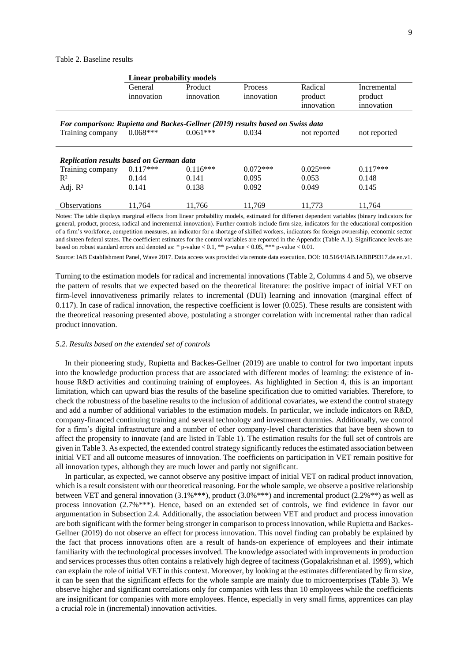#### Table 2. Baseline results

|                                                                                | Linear probability models |            |            |              |              |  |  |  |  |  |  |
|--------------------------------------------------------------------------------|---------------------------|------------|------------|--------------|--------------|--|--|--|--|--|--|
|                                                                                | General                   | Product    | Process    | Radical      | Incremental  |  |  |  |  |  |  |
|                                                                                | innovation                | innovation | innovation | product      | product      |  |  |  |  |  |  |
|                                                                                |                           |            |            | innovation   | innovation   |  |  |  |  |  |  |
|                                                                                |                           |            |            |              |              |  |  |  |  |  |  |
| For comparison: Rupietta and Backes-Gellner (2019) results based on Swiss data |                           |            |            |              |              |  |  |  |  |  |  |
| Training company                                                               | $0.068***$                | $0.061***$ | 0.034      | not reported | not reported |  |  |  |  |  |  |
|                                                                                |                           |            |            |              |              |  |  |  |  |  |  |
| <b>Replication results based on German data</b>                                |                           |            |            |              |              |  |  |  |  |  |  |
| Training company                                                               | $0.117***$                | $0.116***$ | $0.072***$ | $0.025***$   | $0.117***$   |  |  |  |  |  |  |
| $R^2$                                                                          | 0.144                     | 0.141      | 0.095      | 0.053        | 0.148        |  |  |  |  |  |  |
| Adj. $R^2$                                                                     | 0.141                     | 0.138      | 0.092      | 0.049        | 0.145        |  |  |  |  |  |  |
| <b>Observations</b>                                                            | 11.764                    | 11,766     | 11,769     | 11,773       | 11,764       |  |  |  |  |  |  |

Notes: The table displays marginal effects from linear probability models, estimated for different dependent variables (binary indicators for general, product, process, radical and incremental innovation). Further controls include firm size, indicators for the educational composition of a firm's workforce, competition measures, an indicator for a shortage of skilled workers, indicators for foreign ownership, economic sector and sixteen federal states. The coefficient estimates for the control variables are reported in the Appendix (Table A.1). Significance levels are based on robust standard errors and denoted as: \* p-value < 0.1, \*\* p-value < 0.05, \*\*\* p-value < 0.01.

Source: IAB Establishment Panel, Wave 2017. Data access was provided via remote data execution. DOI: 10.5164/IAB.IABBP9317.de.en.v1.

Turning to the estimation models for radical and incremental innovations (Table 2, Columns 4 and 5), we observe the pattern of results that we expected based on the theoretical literature: the positive impact of initial VET on firm-level innovativeness primarily relates to incremental (DUI) learning and innovation (marginal effect of 0.117). In case of radical innovation, the respective coefficient is lower (0.025). These results are consistent with the theoretical reasoning presented above, postulating a stronger correlation with incremental rather than radical product innovation.

## *5.2. Results based on the extended set of controls*

In their pioneering study, Rupietta and Backes-Gellner (2019) are unable to control for two important inputs into the knowledge production process that are associated with different modes of learning: the existence of inhouse R&D activities and continuing training of employees. As highlighted in Section 4, this is an important limitation, which can upward bias the results of the baseline specification due to omitted variables. Therefore, to check the robustness of the baseline results to the inclusion of additional covariates, we extend the control strategy and add a number of additional variables to the estimation models. In particular, we include indicators on R&D, company-financed continuing training and several technology and investment dummies. Additionally, we control for a firm's digital infrastructure and a number of other company-level characteristics that have been shown to affect the propensity to innovate (and are listed in Table 1). The estimation results for the full set of controls are given in Table 3. As expected, the extended control strategy significantly reduces the estimated association between initial VET and all outcome measures of innovation. The coefficients on participation in VET remain positive for all innovation types, although they are much lower and partly not significant.

In particular, as expected, we cannot observe any positive impact of initial VET on radical product innovation, which is a result consistent with our theoretical reasoning. For the whole sample, we observe a positive relationship between VET and general innovation (3.1%\*\*\*), product (3.0%\*\*\*) and incremental product (2.2%\*\*) as well as process innovation (2.7%\*\*\*). Hence, based on an extended set of controls, we find evidence in favor our argumentation in Subsection 2.4. Additionally, the association between VET and product and process innovation are both significant with the former being stronger in comparison to process innovation, while Rupietta and Backes-Gellner (2019) do not observe an effect for process innovation. This novel finding can probably be explained by the fact that process innovations often are a result of hands-on experience of employees and their intimate familiarity with the technological processes involved. The knowledge associated with improvements in production and services processes thus often contains a relatively high degree of tacitness (Gopalakrishnan et al. 1999), which can explain the role of initial VET in this context. Moreover, by looking at the estimates differentiated by firm size, it can be seen that the significant effects for the whole sample are mainly due to microenterprises (Table 3). We observe higher and significant correlations only for companies with less than 10 employees while the coefficients are insignificant for companies with more employees. Hence, especially in very small firms, apprentices can play a crucial role in (incremental) innovation activities.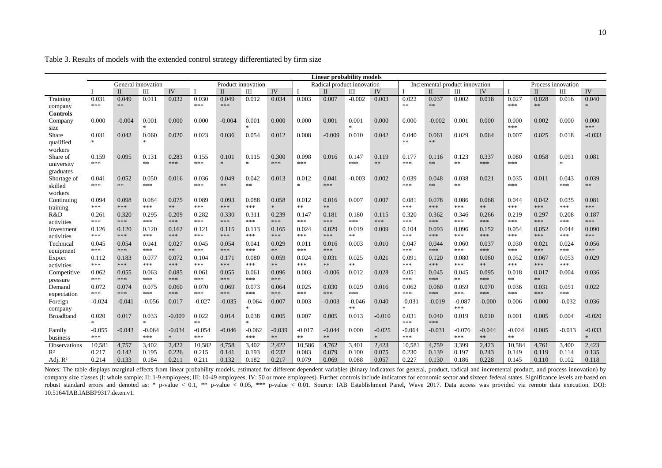|                     | <b>Linear probability models</b>         |          |               |            |          |              |               |                            |               |              |                  |          |                                |              |          |                    |          |              |               |               |
|---------------------|------------------------------------------|----------|---------------|------------|----------|--------------|---------------|----------------------------|---------------|--------------|------------------|----------|--------------------------------|--------------|----------|--------------------|----------|--------------|---------------|---------------|
|                     | General innovation<br>Product innovation |          |               |            |          |              |               | Radical product innovation |               |              |                  |          | Incremental product innovation |              |          | Process innovation |          |              |               |               |
|                     |                                          | H        | Ш             | IV         |          | $\mathbf{I}$ | Ш             | IV                         |               | $\mathbf{I}$ | Ш                | IV       |                                | $\mathbf{I}$ | Ш        | IV                 |          | $\mathbf{I}$ | Ш             | IV            |
| Training            | 0.031                                    | 0.049    | 0.011         | 0.032      | 0.030    | 0.049        | 0.012         | 0.034                      | 0.003         | 0.007        | $-0.002$         | 0.003    | 0.022                          | 0.037        | 0.002    | 0.018              | 0.027    | 0.028        | 0.016         | 0.040         |
| company             | ***                                      | **       |               |            | ***      | ***          |               |                            |               |              |                  |          | **                             | $**$         |          |                    | ***      | **           |               |               |
| <b>Controls</b>     |                                          |          |               |            |          |              |               |                            |               |              |                  |          |                                |              |          |                    |          |              |               |               |
| Company             | 0.000                                    | $-0.004$ | 0.001         | 0.000      | 0.000    | $-0.004$     | 0.001         | 0.000                      | 0.000         | 0.001        | 0.001            | 0.000    | 0.000                          | $-0.002$     | 0.001    | 0.000              | 0.000    | 0.002        | 0.000         | 0.000         |
| size                |                                          |          | $\frac{1}{2}$ |            |          |              | 家             |                            |               |              | $\frac{1}{2\pi}$ |          |                                |              |          |                    | ***      |              |               | ***           |
| Share               | 0.031                                    | 0.043    | 0.060         | 0.020      | 0.023    | 0.036        | 0.054         | 0.012                      | 0.008         | $-0.009$     | 0.010            | 0.042    | 0.040                          | 0.061        | 0.029    | 0.064              | 0.007    | 0.025        | 0.018         | $-0.033$      |
| qualified           | $\frac{1}{26}$                           |          | $\ast$        |            |          |              |               |                            |               |              |                  |          | **                             | $\ast\ast$   |          |                    |          |              |               |               |
| workers             |                                          |          |               |            |          |              |               |                            |               |              |                  |          |                                |              |          |                    |          |              |               |               |
| Share of            | 0.159                                    | 0.095    | 0.131         | 0.283      | 0.155    | 0.101        | 0.115         | 0.300                      | 0.098         | 0.016        | 0.147            | 0.119    | 0.177                          | 0.116        | 0.123    | 0.337              | 0.080    | 0.058        | 0.091         | 0.081         |
| university          | ***                                      |          | $**$          | ***        | ***      | $\mathbf{x}$ | $\frac{1}{2}$ | ***                        | ***           |              | ***              | $**$     | ***                            | **           | $\ast$   | ***                | ***      |              | $\mathcal{H}$ |               |
| graduates           |                                          |          |               |            |          |              |               |                            |               |              |                  |          |                                |              |          |                    |          |              |               |               |
| Shortage of         | 0.041                                    | 0.052    | 0.050         | 0.016      | 0.036    | 0.049        | 0.042         | 0.013                      | 0.012         | 0.041        | $-0.003$         | 0.002    | 0.039                          | 0.048        | 0.038    | 0.021              | 0.035    | 0.011        | 0.043         | 0.039         |
| skilled             | ***                                      | **       | ***           |            | ***      | **           | **            |                            | $\frac{1}{2}$ | ***          |                  |          | ***                            | $**$         | **       |                    | ***      |              | ***           | **            |
| workers             |                                          |          |               |            |          |              |               |                            |               |              |                  |          |                                |              |          |                    |          |              |               |               |
| Continuing          | 0.094                                    | 0.098    | 0.084         | 0.075      | 0.089    | 0.093        | 0.088         | 0.058                      | 0.012         | 0.016        | 0.007            | 0.007    | 0.081                          | 0.078        | 0.086    | 0.068              | 0.044    | 0.042        | 0.035         | 0.081         |
| training            | ***                                      | ***      | ***           | $\ast\ast$ | ***      | ***          | ***           | $\ast$                     | $**$          | $**$         |                  |          | ***                            | ***          | ***      | $**$               | ***      | ***          | ***           | ***           |
| R&D                 | 0.261                                    | 0.320    | 0.295         | 0.209      | 0.282    | 0.330        | 0.311         | 0.239                      | 0.147         | 0.181        | 0.180            | 0.115    | 0.320                          | 0.362        | 0.346    | 0.266              | 0.219    | 0.297        | 0.208         | 0.187         |
| activities          | ***                                      | ***      | ***           | ***        | ***      | ***          | ***           | ***                        | ***           | ***          | ***              | ***      | ***                            | ***          | ***      | ***                | ***      | ***          | ***           | ***           |
| Investment          | 0.126                                    | 0.120    | 0.120         | 0.162      | 0.121    | 0.115        | 0.113         | 0.165                      | 0.024         | 0.029        | 0.019            | 0.009    | 0.104                          | 0.093        | 0.096    | 0.152              | 0.054    | 0.052        | 0.044         | 0.090         |
| activities          | ***                                      | ***      | ***           | ***        | ***      | ***          | ***           | ***                        | ***           | ***          | **               |          | ***                            | ***          | ***      | ***                | ***      | ***          | ***           | ***           |
| Technical           | 0.045                                    | 0.054    | 0.041         | 0.027      | 0.045    | 0.054        | 0.041         | 0.029                      | 0.011         | 0.016        | 0.003            | 0.010    | 0.047                          | 0.044        | 0.060    | 0.037              | 0.030    | 0.021        | 0.024         | 0.056         |
| equipment           | ***                                      | ***      | ***           | $\ast\ast$ | ***      | ***          | ***           | $\ast\ast$                 | ***           | ***          |                  |          | ***                            | ***          | ***      | ***                | ***      | ***          | ***           | ***           |
| Export              | 0.112                                    | 0.183    | 0.077         | 0.072      | 0.104    | 0.171        | 0.080         | 0.059                      | 0.024         | 0.031        | 0.025            | 0.021    | 0.091                          | 0.120        | 0.080    | 0.060              | 0.052    | 0.067        | 0.053         | 0.029         |
| activities          | ***                                      | ***      | ***           | ***        | ***      | ***          | ***           | $**$                       | ***           | **           | **               |          | ***                            | ***          | ***      | **                 | ***      | ***          | ***           |               |
| Competitive         | 0.062                                    | 0.055    | 0.063         | 0.085      | 0.061    | 0.055        | 0.061         | 0.096                      | 0.003         | $-0.006$     | 0.012            | 0.028    | 0.051                          | 0.045        | 0.045    | 0.095              | 0.018    | 0.017        | 0.004         | 0.036         |
| pressure            | ***                                      | ***      | ***           | ***        | ***      | ***          | ***           | $***$                      |               |              |                  |          | ***                            | ***          | **       | ***                | $**$     | **           |               |               |
| Demand              | 0.072                                    | 0.074    | 0.075         | 0.060      | 0.070    | 0.069        | 0.073         | 0.064                      | 0.025         | 0.030        | 0.029            | 0.016    | 0.062                          | 0.060        | 0.059    | 0.070              | 0.036    | 0.031        | 0.051         | 0.022         |
| expectation         | ***                                      | ***      | ***           | ***        | ***      | ***          | ***           | ***                        | ***           | ***          | ***              |          | ***                            | ***          | ***      | ***                | ***      | ***          | ***           |               |
| Foreign             | $-0.024$                                 | $-0.041$ | $-0.056$      | 0.017      | $-0.027$ | $-0.035$     | $-0.064$      | 0.007                      | 0.003         | $-0.003$     | $-0.046$         | 0.040    | $-0.031$                       | $-0.019$     | $-0.087$ | $-0.000$           | 0.006    | 0.000        | $-0.032$      | 0.036         |
| company             |                                          |          |               |            |          |              | sk.           |                            |               |              | **               |          | $\frac{1}{26}$                 |              | ***      |                    |          |              |               |               |
| Broadband           | 0.020                                    | 0.017    | 0.033         | $-0.009$   | 0.022    | 0.014        | 0.038         | 0.005                      | 0.007         | 0.005        | 0.013            | $-0.010$ | 0.031                          | 0.040        | 0.019    | 0.010              | 0.001    | 0.005        | 0.004         | $-0.020$      |
|                     | $\ast$                                   |          | $\frac{1}{2}$ |            | **       |              | ×.            |                            |               |              |                  |          | ***                            | ***          |          |                    |          |              |               |               |
| Family              | $-0.055$                                 | $-0.043$ | $-0.064$      | $-0.034$   | $-0.054$ | $-0.046$     | $-0.062$      | $-0.039$                   | $-0.017$      | $-0.044$     | 0.000            | $-0.025$ | $-0.064$                       | $-0.031$     | $-0.076$ | $-0.044$           | $-0.024$ | 0.005        | $-0.013$      | $-0.033$      |
| business            | ***                                      |          | ***           | $\star$    | ***      |              | ***           | $\ast\ast$                 | $**$          | **           |                  | $\star$  | ***                            |              | ***      | $**$               | **       |              |               | $\mathcal{M}$ |
| <b>Observations</b> | 10,581                                   | 4,757    | 3,402         | 2,422      | 10,582   | 4,758        | 3,402         | 2,422                      | 10,586        | 4,762        | 3,401            | 2,423    | 10,581                         | 4,759        | 3,399    | 2,423              | 10,584   | 4,761        | 3,400         | 2,423         |
| $R^2$               | 0.217                                    | 0.142    | 0.195         | 0.226      | 0.215    | 0.141        | 0.193         | 0.232                      | 0.083         | 0.079        | 0.100            | 0.075    | 0.230                          | 0.139        | 0.197    | 0.243              | 0.149    | 0.119        | 0.114         | 0.135         |
| Adj. $R^2$          | 0.214                                    | 0.133    | 0.184         | 0.211      | 0.211    | 0.132        | 0.182         | 0.217                      | 0.079         | 0.069        | 0.088            | 0.057    | 0.227                          | 0.130        | 0.186    | 0.228              | 0.145    | 0.110        | 0.102         | 0.118         |
|                     |                                          |          |               |            |          |              |               |                            |               |              |                  |          |                                |              |          |                    |          |              |               |               |

Table 3. Results of models with the extended control strategy differentiated by firm size

Notes: The table displays marginal effects from linear probability models, estimated for different dependent variables (binary indicators for general, product, radical and incremental product, and process innovation) by company size classes (I: whole sample; II: 1-9 employees; III: 10-49 employees, IV: 50 or more employees). Further controls include indicators for economic sector and sixteen federal states. Significance levels are based o robust standard errors and denoted as: \* p-value < 0.1, \*\* p-value < 0.05, \*\*\* p-value < 0.01. Source: IAB Establishment Panel, Wave 2017. Data access was provided via remote data execution. DOI: 10.5164/IAB.IABBP9317.de.en.v1.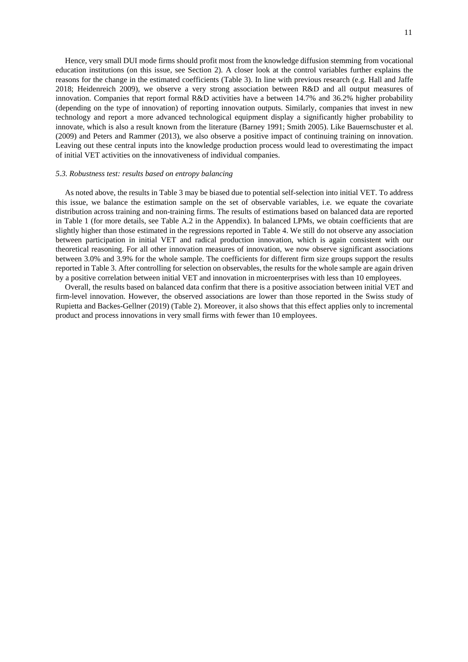Hence, very small DUI mode firms should profit most from the knowledge diffusion stemming from vocational education institutions (on this issue, see Section 2). A closer look at the control variables further explains the reasons for the change in the estimated coefficients (Table 3). In line with previous research (e.g. Hall and Jaffe 2018; Heidenreich 2009), we observe a very strong association between R&D and all output measures of innovation. Companies that report formal R&D activities have a between 14.7% and 36.2% higher probability (depending on the type of innovation) of reporting innovation outputs. Similarly, companies that invest in new technology and report a more advanced technological equipment display a significantly higher probability to innovate, which is also a result known from the literature (Barney 1991; Smith 2005). Like Bauernschuster et al. (2009) and Peters and Rammer (2013), we also observe a positive impact of continuing training on innovation. Leaving out these central inputs into the knowledge production process would lead to overestimating the impact of initial VET activities on the innovativeness of individual companies.

#### *5.3. Robustness test: results based on entropy balancing*

As noted above, the results in Table 3 may be biased due to potential self-selection into initial VET. To address this issue, we balance the estimation sample on the set of observable variables, i.e. we equate the covariate distribution across training and non-training firms. The results of estimations based on balanced data are reported in [Table 1](#page-12-0) (for more details, see Table A.2 in the Appendix). In balanced LPMs, we obtain coefficients that are slightly higher than those estimated in the regressions reported in Table 4. We still do not observe any association between participation in initial VET and radical production innovation, which is again consistent with our theoretical reasoning. For all other innovation measures of innovation, we now observe significant associations between 3.0% and 3.9% for the whole sample. The coefficients for different firm size groups support the results reported in Table 3. After controlling for selection on observables, the results for the whole sample are again driven by a positive correlation between initial VET and innovation in microenterprises with less than 10 employees.

Overall, the results based on balanced data confirm that there is a positive association between initial VET and firm-level innovation. However, the observed associations are lower than those reported in the Swiss study of Rupietta and Backes-Gellner (2019) (Table 2). Moreover, it also shows that this effect applies only to incremental product and process innovations in very small firms with fewer than 10 employees.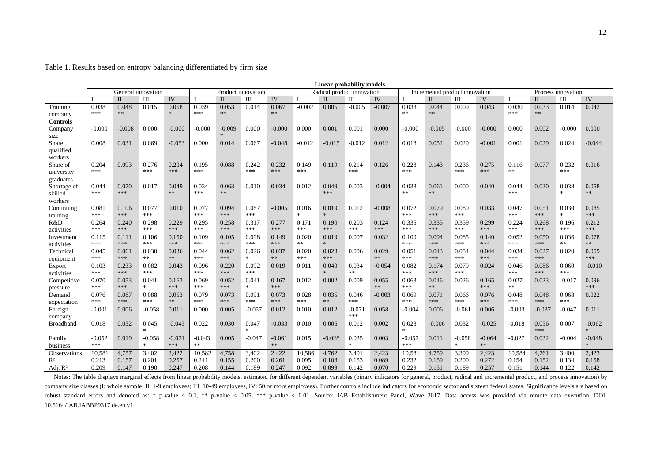|                  | <b>Linear probability models</b> |                                          |              |               |          |              |               |          |          |                            |          |          |                        |                                |          |          |                    |             |              |               |
|------------------|----------------------------------|------------------------------------------|--------------|---------------|----------|--------------|---------------|----------|----------|----------------------------|----------|----------|------------------------|--------------------------------|----------|----------|--------------------|-------------|--------------|---------------|
|                  |                                  | General innovation<br>Product innovation |              |               |          |              |               |          |          | Radical product innovation |          |          |                        | Incremental product innovation |          |          | Process innovation |             |              |               |
|                  |                                  | $\mathbf{I}$                             | Ш            | IV            |          | $\mathbf{I}$ | Ш             | IV       |          | $\mathbf{I}$               | Ш        | IV       |                        | $\mathbf{I}$                   | Ш        | IV       |                    | $_{\rm II}$ | Ш            | IV            |
| Training         | 0.038                            | 0.048                                    | 0.015        | 0.058         | 0.039    | 0.053        | 0.014         | 0.067    | $-0.002$ | 0.005                      | $-0.005$ | $-0.007$ | 0.033                  | 0.044                          | 0.009    | 0.043    | 0.030              | 0.033       | 0.014        | 0.042         |
| company          | ***                              | **                                       |              | $\mathcal{A}$ | ***      | **           |               | **       |          |                            |          |          | **                     | **                             |          |          | ***                | **          |              |               |
| <b>Controls</b>  |                                  |                                          |              |               |          |              |               |          |          |                            |          |          |                        |                                |          |          |                    |             |              |               |
| Company          | $-0.000$                         | $-0.008$                                 | 0.000        | $-0.000$      | $-0.000$ | $-0.009$     | 0.000         | $-0.000$ | 0.000    | 0.001                      | 0.001    | 0.000    | $-0.000$               | $-0.005$                       | $-0.000$ | $-0.000$ | 0.000              | 0.002       | $-0.000$     | 0.000         |
| size             |                                  |                                          |              |               |          | $\star$      |               |          |          |                            |          |          |                        |                                |          |          |                    |             |              |               |
| Share            | 0.008                            | 0.031                                    | 0.069        | $-0.053$      | 0.000    | 0.014        | 0.067         | $-0.048$ | $-0.012$ | $-0.015$                   | $-0.012$ | 0.012    | 0.018                  | 0.052                          | 0.029    | $-0.001$ | 0.001              | 0.029       | 0.024        | $-0.044$      |
| qualified        |                                  |                                          |              |               |          |              |               |          |          |                            |          |          |                        |                                |          |          |                    |             |              |               |
| workers          |                                  |                                          |              |               |          |              |               |          |          |                            |          |          |                        |                                |          |          |                    |             |              |               |
| Share of         | 0.204                            | 0.093                                    | 0.276        | 0.204         | 0.195    | 0.088        | 0.242         | 0.232    | 0.149    | 0.119                      | 0.214    | 0.126    | 0.228                  | 0.143                          | 0.236    | 0.275    | 0.116              | 0.077       | 0.232        | 0.016         |
| university       | ***                              |                                          | ***          | ***           | ***      |              | ***           | ***      | ***      |                            | ***      |          | ***                    |                                | ***      | ***      | $\ast$ $\ast$      |             | ***          |               |
| graduates        |                                  |                                          |              |               |          |              |               |          |          |                            |          |          |                        |                                |          |          |                    |             |              |               |
| Shortage of      | 0.044                            | 0.070                                    | 0.017        | 0.049         | 0.034    | 0.063        | 0.010         | 0.034    | 0.012    | 0.049                      | 0.003    | $-0.004$ | 0.033                  | 0.061                          | 0.000    | 0.040    | 0.044              | 0.020       | 0.038        | 0.058         |
| skilled          | ***                              | ***                                      |              | **            | ***      | **           |               |          |          | ***                        |          |          | **                     | **                             |          |          | ***                |             | $\ast$       | **            |
| workers          |                                  |                                          |              |               |          |              |               |          |          |                            |          |          |                        |                                |          |          |                    |             |              |               |
| Continuing       | 0.081                            | 0.106                                    | 0.077        | 0.010         | 0.077    | 0.094        | 0.087         | $-0.005$ | 0.016    | 0.019                      | 0.012    | $-0.008$ | 0.072                  | 0.079                          | 0.080    | 0.033    | 0.047              | 0.051       | 0.030        | 0.085         |
| training         | ***                              | ***                                      | ***          |               | ***      | ***          | ***           |          | $\ast$   | $\star$                    |          |          | ***                    | ***                            | ***      |          | ***                | ***         | $\mathbf{x}$ | ***           |
| R&D              | 0.264                            | 0.240                                    | 0.298        | 0.229         | 0.295    | 0.258        | 0.317         | 0.277    | 0.171    | 0.190                      | 0.203    | 0.124    | 0.335                  | 0.335                          | 0.359    | 0.299    | 0.224              | 0.268       | 0.196        | 0.212         |
| activities       | ***                              | ***                                      | ***          | ***           | ***      | ***          | ***           | ***      | ***      | ***                        | ***      | ***      | ***                    | ***                            | ***      | ***      | ***                | ***         | ***          | ***           |
| Investment       | 0.115                            | 0.111                                    | 0.106        | 0.150         | 0.109    | 0.105        | 0.098         | 0.149    | 0.020    | 0.019                      | 0.007    | 0.032    | 0.100                  | 0.094                          | 0.085    | 0.140    | 0.052              | 0.050       | 0.036        | 0.078         |
| activities       | ***                              | ***                                      | ***          | ***           | ***      | ***          | ***           | ***      | **       | $\star$                    |          |          | ***                    | ***                            | ***      | ***      | ***                | ***         | **           | $**$          |
| Technical        | 0.045                            | 0.061                                    | 0.030        | 0.036         | 0.044    | 0.062        | 0.026         | 0.037    | 0.020    | 0.028                      | 0.006    | 0.029    | 0.051                  | 0.043                          | 0.054    | 0.044    | 0.034              | 0.027       | 0.020        | 0.059         |
| equipment        | ***                              | ***                                      | **           | $**$          | ***      | ***          | $\mathcal{H}$ | **       | ***      | ***                        |          | $**$     | ***                    | ***                            | ***      | ***      | ***                | ***         |              | ***           |
| Export           | 0.103                            | 0.233                                    | 0.082        | 0.043         | 0.096    | 0.220        | 0.092         | 0.019    | 0.011    | 0.040                      | 0.034    | $-0.054$ | 0.082                  | 0.174                          | 0.079    | 0.024    | 0.046              | 0.086       | 0.060        | $-0.010$      |
| activities       | ***                              | ***                                      | ***          |               | ***      | ***          | ***           |          |          | $\star$                    | **       |          | ***                    | ***                            | ***      |          | ***                | ***         | ***          |               |
| Competitive      | 0.070                            | 0.053                                    | 0.041        | 0.163         | 0.069    | 0.052        | 0.041         | 0.167    | 0.012    | 0.002                      | 0.009    | 0.055    | 0.063                  | 0.046                          | 0.026    | 0.165    | 0.027              | 0.023       | $-0.017$     | 0.096         |
| pressure         | ***                              | ***                                      | $\ast$       | ***           | ***      | ***          | $\ast$        | ***      |          |                            |          | $**$     | ***                    | **                             |          | ***      | $\ast$ $\ast$      |             |              | ***           |
| Demand           | 0.076                            | 0.087                                    | 0.088        | 0.053         | 0.079    | 0.073        | 0.091         | 0.073    | 0.028    | 0.035                      | 0.046    | $-0.003$ | 0.069                  | 0.071                          | 0.066    | 0.076    | 0.048              | 0.048       | 0.068        | 0.022         |
| expectation      | ***                              | ***                                      | ***          | $\ast\ast$    | ***      | ***          | ***           | ***      | ***      | **                         | ***      |          | ***                    | ***                            | ***      | ***      | ***                | ***         | ***          |               |
| Foreign          | $-0.001$                         | 0.006                                    | $-0.058$     | 0.011         | 0.000    | 0.005        | -0.057        | 0.012    | 0.010    | 0.012                      | $-0.071$ | 0.058    | $-0.004$               | 0.006                          | $-0.061$ | 0.006    | $-0.003$           | $-0.037$    | $-0.047$     | 0.011         |
| company          |                                  |                                          |              |               |          |              |               |          |          |                            | ***      |          |                        |                                |          |          |                    |             |              |               |
| <b>Broadband</b> | 0.018                            | 0.032                                    | 0.045<br>sk. | $-0.043$      | 0.022    | 0.030        | 0.047         | $-0.033$ | 0.010    | 0.006                      | 0.012    | 0.002    | 0.028<br>$\mathcal{M}$ | $-0.006$                       | 0.032    | $-0.025$ | $-0.018$           | 0.056       | 0.007        | $-0.062$      |
|                  |                                  |                                          |              |               |          |              | $\ast$        |          |          |                            |          |          |                        |                                |          |          |                    | ***         |              | $\mathcal{M}$ |
| Family           | $-0.052$                         | 0.019                                    | $-0.058$     | $-0.071$      | $-0.043$ | 0.005        | $-0.047$      | $-0.061$ | 0.015    | $-0.028$                   | 0.035    | 0.003    | $-0.057$               | 0.011                          | $-0.058$ | $-0.064$ | $-0.027$           | 0.032       | $-0.004$     | $-0.048$      |
| business         | ***                              |                                          | $*$          | ***           | **       |              |               | $**$     |          |                            | $*$      |          | ***                    |                                | $\ast$   | $**$     |                    |             |              | $\mathcal{H}$ |
| Observations     | 10,581                           | 4,757                                    | 3,402        | 2.422         | 10.582   | 4,758        | 3,402         | 2,422    | 10,586   | 4,762                      | 3.401    | 2,423    | 10,581                 | 4,759                          | 3,399    | 2,423    | 10.584             | 4,761       | 3.400        | 2,423         |
| R <sup>2</sup>   | 0.213                            | 0.157                                    | 0.201        | 0.257         | 0.211    | 0.155        | 0.200         | 0.261    | 0.095    | 0.108                      | 0.153    | 0.089    | 0.232                  | 0.159                          | 0.200    | 0.272    | 0.154              | 0.152       | 0.134        | 0.158         |
| Adj. $R^2$       | 0.209                            | 0.147                                    | 0.190        | 0.247         | 0.208    | 0.144        | 0.189         | 0.247    | 0.092    | 0.099                      | 0.142    | 0.070    | 0.229                  | 0.151                          | 0.189    | 0.257    | 0.151              | 0.144       | 0.122        | 0.142         |

Table 1. Results based on entropy balancing differentiated by firm size

<span id="page-12-0"></span>Notes: The table displays marginal effects from linear probability models, estimated for different dependent variables (binary indicators for general, product, radical and incremental product, and process innovation) by company size classes (I: whole sample; II: 1-9 employees; III: 10-49 employees, IV: 50 or more employees). Further controls include indicators for economic sector and sixteen federal states. Significance levels are based o robust standard errors and denoted as: \* p-value < 0.1, \*\* p-value < 0.05, \*\*\* p-value < 0.01. Source: IAB Establishment Panel, Wave 2017. Data access was provided via remote data execution. DOI: 10.5164/IAB.IABBP9317.de.en.v1.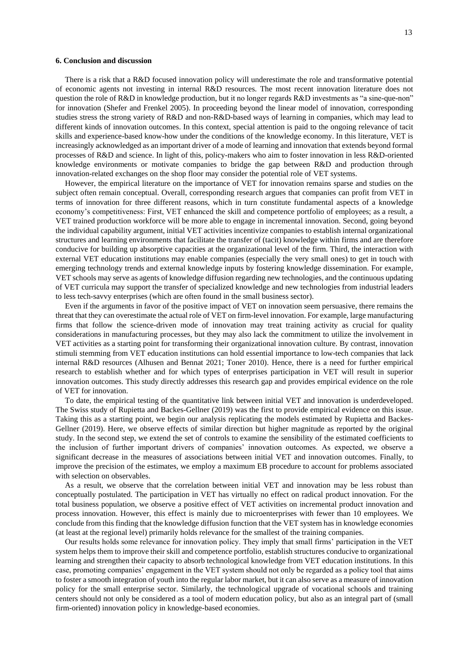#### **6. Conclusion and discussion**

There is a risk that a R&D focused innovation policy will underestimate the role and transformative potential of economic agents not investing in internal R&D resources. The most recent innovation literature does not question the role of R&D in knowledge production, but it no longer regards R&D investments as "a sine-que-non" for innovation (Shefer and Frenkel 2005). In proceeding beyond the linear model of innovation, corresponding studies stress the strong variety of R&D and non-R&D-based ways of learning in companies, which may lead to different kinds of innovation outcomes. In this context, special attention is paid to the ongoing relevance of tacit skills and experience-based know-how under the conditions of the knowledge economy. In this literature, VET is increasingly acknowledged as an important driver of a mode of learning and innovation that extends beyond formal processes of R&D and science. In light of this, policy-makers who aim to foster innovation in less R&D-oriented knowledge environments or motivate companies to bridge the gap between R&D and production through innovation-related exchanges on the shop floor may consider the potential role of VET systems.

However, the empirical literature on the importance of VET for innovation remains sparse and studies on the subject often remain conceptual. Overall, corresponding research argues that companies can profit from VET in terms of innovation for three different reasons, which in turn constitute fundamental aspects of a knowledge economy's competitiveness: First, VET enhanced the skill and competence portfolio of employees; as a result, a VET trained production workforce will be more able to engage in incremental innovation. Second, going beyond the individual capability argument, initial VET activities incentivize companies to establish internal organizational structures and learning environments that facilitate the transfer of (tacit) knowledge within firms and are therefore conducive for building up absorptive capacities at the organizational level of the firm. Third, the interaction with external VET education institutions may enable companies (especially the very small ones) to get in touch with emerging technology trends and external knowledge inputs by fostering knowledge dissemination. For example, VET schools may serve as agents of knowledge diffusion regarding new technologies, and the continuous updating of VET curricula may support the transfer of specialized knowledge and new technologies from industrial leaders to less tech-savvy enterprises (which are often found in the small business sector).

Even if the arguments in favor of the positive impact of VET on innovation seem persuasive, there remains the threat that they can overestimate the actual role of VET on firm-level innovation. For example, large manufacturing firms that follow the science-driven mode of innovation may treat training activity as crucial for quality considerations in manufacturing processes, but they may also lack the commitment to utilize the involvement in VET activities as a starting point for transforming their organizational innovation culture. By contrast, innovation stimuli stemming from VET education institutions can hold essential importance to low-tech companies that lack internal R&D resources (Alhusen and Bennat 2021; Toner 2010). Hence, there is a need for further empirical research to establish whether and for which types of enterprises participation in VET will result in superior innovation outcomes. This study directly addresses this research gap and provides empirical evidence on the role of VET for innovation.

To date, the empirical testing of the quantitative link between initial VET and innovation is underdeveloped. The Swiss study of Rupietta and Backes-Gellner (2019) was the first to provide empirical evidence on this issue. Taking this as a starting point, we begin our analysis replicating the models estimated by Rupietta and Backes-Gellner (2019). Here, we observe effects of similar direction but higher magnitude as reported by the original study. In the second step, we extend the set of controls to examine the sensibility of the estimated coefficients to the inclusion of further important drivers of companies' innovation outcomes. As expected, we observe a significant decrease in the measures of associations between initial VET and innovation outcomes. Finally, to improve the precision of the estimates, we employ a maximum EB procedure to account for problems associated with selection on observables.

As a result, we observe that the correlation between initial VET and innovation may be less robust than conceptually postulated. The participation in VET has virtually no effect on radical product innovation. For the total business population, we observe a positive effect of VET activities on incremental product innovation and process innovation. However, this effect is mainly due to microenterprises with fewer than 10 employees. We conclude from this finding that the knowledge diffusion function that the VET system has in knowledge economies (at least at the regional level) primarily holds relevance for the smallest of the training companies.

Our results holds some relevance for innovation policy. They imply that small firms' participation in the VET system helps them to improve their skill and competence portfolio, establish structures conducive to organizational learning and strengthen their capacity to absorb technological knowledge from VET education institutions. In this case, promoting companies' engagement in the VET system should not only be regarded as a policy tool that aims to foster a smooth integration of youth into the regular labor market, but it can also serve as a measure of innovation policy for the small enterprise sector. Similarly, the technological upgrade of vocational schools and training centers should not only be considered as a tool of modern education policy, but also as an integral part of (small firm-oriented) innovation policy in knowledge-based economies.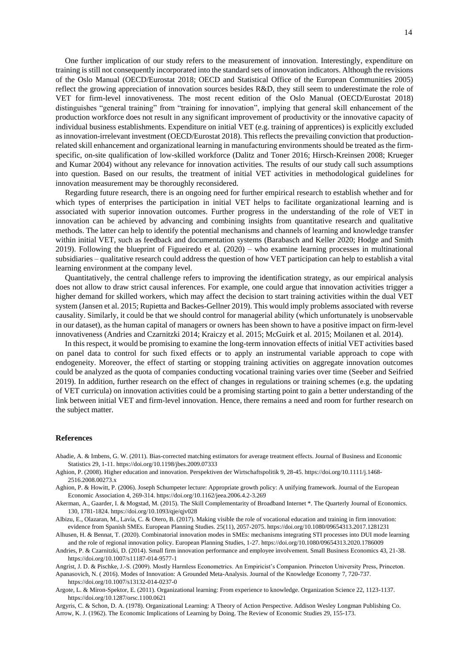One further implication of our study refers to the measurement of innovation. Interestingly, expenditure on training is still not consequently incorporated into the standard sets of innovation indicators. Although the revisions of the Oslo Manual (OECD/Eurostat 2018; OECD and Statistical Office of the European Communities 2005) reflect the growing appreciation of innovation sources besides R&D, they still seem to underestimate the role of VET for firm-level innovativeness. The most recent edition of the Oslo Manual (OECD/Eurostat 2018) distinguishes "general training" from "training for innovation", implying that general skill enhancement of the production workforce does not result in any significant improvement of productivity or the innovative capacity of individual business establishments. Expenditure on initial VET (e.g. training of apprentices) is explicitly excluded as innovation-irrelevant investment (OECD/Eurostat 2018). This reflects the prevailing conviction that productionrelated skill enhancement and organizational learning in manufacturing environments should be treated as the firmspecific, on-site qualification of low-skilled workforce (Dalitz and Toner 2016; Hirsch-Kreinsen 2008; Krueger and Kumar 2004) without any relevance for innovation activities. The results of our study call such assumptions into question. Based on our results, the treatment of initial VET activities in methodological guidelines for innovation measurement may be thoroughly reconsidered.

Regarding future research, there is an ongoing need for further empirical research to establish whether and for which types of enterprises the participation in initial VET helps to facilitate organizational learning and is associated with superior innovation outcomes. Further progress in the understanding of the role of VET in innovation can be achieved by advancing and combining insights from quantitative research and qualitative methods. The latter can help to identify the potential mechanisms and channels of learning and knowledge transfer within initial VET, such as feedback and documentation systems (Barabasch and Keller 2020; Hodge and Smith 2019). Following the blueprint of Figueiredo et al. (2020) – who examine learning processes in multinational subsidiaries – qualitative research could address the question of how VET participation can help to establish a vital learning environment at the company level.

Quantitatively, the central challenge refers to improving the identification strategy, as our empirical analysis does not allow to draw strict causal inferences. For example, one could argue that innovation activities trigger a higher demand for skilled workers, which may affect the decision to start training activities within the dual VET system (Jansen et al. 2015; Rupietta and Backes-Gellner 2019). This would imply problems associated with reverse causality. Similarly, it could be that we should control for managerial ability (which unfortunately is unobservable in our dataset), as the human capital of managers or owners has been shown to have a positive impact on firm-level innovativeness (Andries and Czarnitzki 2014; Kraiczy et al. 2015; McGuirk et al. 2015; Moilanen et al. 2014).

In this respect, it would be promising to examine the long-term innovation effects of initial VET activities based on panel data to control for such fixed effects or to apply an instrumental variable approach to cope with endogeneity. Moreover, the effect of starting or stopping training activities on aggregate innovation outcomes could be analyzed as the quota of companies conducting vocational training varies over time (Seeber and Seifried 2019). In addition, further research on the effect of changes in regulations or training schemes (e.g. the updating of VET curricula) on innovation activities could be a promising starting point to gain a better understanding of the link between initial VET and firm-level innovation. Hence, there remains a need and room for further research on the subject matter.

#### **References**

Abadie, A. & Imbens, G. W. (2011). Bias-corrected matching estimators for average treatment effects. Journal of Business and Economic Statistics 29, 1-11. https://doi.org/10.1198/jbes.2009.07333

- Aghion, P. (2008). Higher education and innovation. Perspektiven der Wirtschaftspolitik 9, 28-45. https://doi.org/10.1111/j.1468- 2516.2008.00273.x
- Aghion, P. & Howitt, P. (2006). Joseph Schumpeter lecture: Appropriate growth policy: A unifying framework. Journal of the European Economic Association 4, 269-314. https://doi.org/10.1162/jeea.2006.4.2-3.269

Akerman, A., Gaarder, I. & Mogstad, M. (2015). The Skill Complementarity of Broadband Internet \*. The Quarterly Journal of Economics. 130, 1781-1824. https://doi.org/10.1093/qje/qjv028

Albizu, E., Olazaran, M., Lavía, C. & Otero, B. (2017). Making visible the role of vocational education and training in firm innovation: evidence from Spanish SMEs. European Planning Studies. 25(11), 2057-2075. https://doi.org/10.1080/09654313.2017.1281231

Alhusen, H. & Bennat, T. (2020). Combinatorial innovation modes in SMEs: mechanisms integrating STI processes into DUI mode learning and the role of regional innovation policy. European Planning Studies, 1-27. https://doi.org/10.1080/09654313.2020.1786009

Andries, P. & Czarnitzki, D. (2014). Small firm innovation performance and employee involvement. Small Business Economics 43, 21-38. https://doi.org/10.1007/s11187-014-9577-1

Angrist, J. D. & Pischke, J.-S. (2009). Mostly Harmless Econometrics. An Empiricist's Companion. Princeton University Press, Princeton. Apanasovich, N. ( 2016). Modes of Innovation: A Grounded Meta-Analysis. Journal of the Knowledge Economy 7, 720-737. https://doi.org/10.1007/s13132-014-0237-0

Argote, L. & Miron-Spektor, E. (2011). Organizational learning: From experience to knowledge. Organization Science 22, 1123-1137. https://doi.org/10.1287/orsc.1100.0621

Argyris, C. & Schon, D. A. (1978). Organizational Learning: A Theory of Action Perspective. Addison Wesley Longman Publishing Co. Arrow, K. J. (1962). The Economic Implications of Learning by Doing. The Review of Economic Studies 29, 155-173.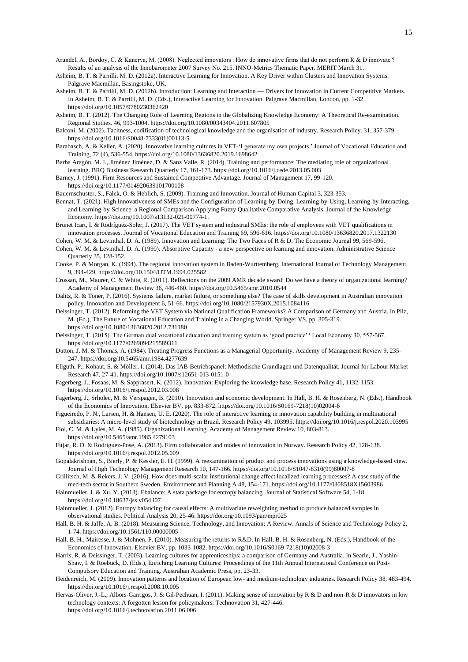- Arundel, A., Bordoy, C. & Kanerva, M. (2008). Neglected innovators : How do innovative firms that do not perform R & D innovate ? Results of an analysis of the Innobarometer 2007 Survey No. 215. INNO-Metrics Thematic Paper. MERIT March 31.
- Asheim, B. T. & Parrilli, M. D. (2012a). Interactive Learning for Innovation. A Key Driver within Clusters and Innovation Systems. Palgrave Macmillan, Basingstoke, UK.
- Asheim, B. T. & Parrilli, M. D. (2012b). Introduction: Learning and Interaction Drivers for Innovation in Current Competitive Markets. In Asheim, B. T. & Parrilli, M. D. (Eds.), Interactive Learning for Innovation. Palgrave Macmillan, London, pp. 1-32. https://doi.org/10.1057/9780230362420
- Asheim, B. T. (2012). The Changing Role of Learning Regions in the Globalizing Knowledge Economy: A Theoretical Re-examination. Regional Studies. 46, 993-1004. https://doi.org/10.1080/00343404.2011.607805
- Balconi, M. (2002). Tacitness, codification of technological knowledge and the organisation of industry. Research Policy. 31, 357-379. https://doi.org/10.1016/S0048-7333(01)00113-5
- Barabasch, A. & Keller, A. (2020). Innovative learning cultures in VET-'I generate my own projects.' Journal of Vocational Education and Training, 72 (4), 536-554. https://doi.org/10.1080/13636820.2019.1698642
- Barba Aragón, M. I., Jiménez Jiménez, D. & Sanz Valle, R. (2014). Training and performance: The mediating role of organizational learning. BRQ Business Research Quarterly 17, 161-173. https://doi.org/10.1016/j.cede.2013.05.003
- Barney, J. (1991). Firm Resources and Sustained Competitive Advantage. Journal of Management 17, 99-120. https://doi.org/10.1177/014920639101700108
- Bauernschuster, S., Falck, O. & Heblich, S. (2009). Training and Innovation. Journal of Human Capital 3, 323-353.
- Bennat, T. (2021). High Innovativeness of SMEs and the Configuration of Learning-by-Doing, Learning-by-Using, Learning-by-Interacting, and Learning-by-Science: a Regional Comparison Applying Fuzzy Qualitative Comparative Analysis. Journal of the Knowledge Economy. https://doi.org/10.1007/s13132-021-00774-1.
- Brunet Icart, I. & Rodríguez-Soler, J. (2017). The VET system and industrial SMEs: the role of employees with VET qualifications in innovation processes. Journal of Vocational Education and Training 69, 596-616. https://doi.org/10.1080/13636820.2017.1322130
- Cohen, W. M. & Levinthal, D. A. (1989). Innovation and Learning: The Two Faces of R & D. The Economic Journal 99, 569-596. Cohen, W. M. & Levinthal, D. A. (1990). Absorptive Capacity - a new perspective on learning and innovation. Administrative Science Quarterly 35, 128-152.
- Cooke, P. & Morgan, K. (1994). The regional innovation system in Baden-Wurttemberg. International Journal of Technology Management. 9, 394-429. https://doi.org/10.1504/IJTM.1994.025582
- Crossan, M., Maurer, C. & White, R. (2011). Reflections on the 2009 AMR decade award: Do we have a theory of organizational learning? Academy of Management Review 36, 446-460. https://doi.org/10.5465/amr.2010.0544
- Dalitz, R. & Toner, P. (2016). Systems failure, market failure, or something else? The case of skills development in Australian innovation policy. Innovation and Development 6, 51-66. https://doi.org/10.1080/2157930X.2015.1084116
- Deissinger, T. (2012). Reforming the VET System via National Qualification Frameworks? A Comparison of Germany and Austria. In Pilz, M. (Ed.), The Future of Vocational Education and Training in a Changing World. Springer VS, pp. 305-319. https://doi.org/10.1080/13636820.2012.731180
- Deissinger, T. (2015). The German dual vocational education and training system as 'good practice'? Local Economy 30, 557-567. https://doi.org/10.1177/0269094215589311
- Dutton, J. M. & Thomas, A. (1984). Treating Progress Functions as a Managerial Opportunity. Academy of Management Review 9, 235- 247. https://doi.org/10.5465/amr.1984.4277639
- Ellguth, P., Kohaut, S. & Möller, I. (2014). Das IAB-Betriebspanel: Methodische Grundlagen und Datenqualität. Journal for Labour Market Research 47, 27-41. https://doi.org/10.1007/s12651-013-0151-0
- Fagerberg, J., Fosaas, M. & Sapprasert, K. (2012). Innovation: Exploring the knowledge base. Research Policy 41, 1132-1153. https://doi.org/10.1016/j.respol.2012.03.008
- Fagerberg, J., Srholec, M. & Verspagen, B. (2010). Innovation and economic development. In Hall, B. H. & Rosenberg, N. (Eds.), Handbook of the Economics of Innovation. Elsevier BV, pp. 833-872. https://doi.org/10.1016/S0169-7218(10)02004-6
- Figueiredo, P. N., Larsen, H. & Hansen, U. E. (2020). The role of interactive learning in innovation capability building in multinational subsidiaries: A micro-level study of biotechnology in Brazil. Research Policy 49, 103995. https://doi.org/10.1016/j.respol.2020.103995

Fiol, C. M. & Lyles, M. A. (1985). Organizational Learning. Academy of Management Review 10, 803-813. https://doi.org/10.5465/amr.1985.4279103

- Fitjar, R. D. & Rodríguez-Pose, A. (2013). Firm collaboration and modes of innovation in Norway. Research Policy 42, 128-138. https://doi.org/10.1016/j.respol.2012.05.009
- Gopalakrishnan, S., Bierly, P. & Kessler, E. H. (1999). A reexamination of product and process innovations using a knowledge-based view. Journal of High Technology Management Research 10, 147-166. https://doi.org/10.1016/S1047-8310(99)80007-8
- Grillitsch, M. & Rekers, J. V. (2016). How does multi-scalar institutional change affect localized learning processes? A case study of the
- med-tech sector in Southern Sweden. Environment and Planning A 48, 154-171. https://doi.org/10.1177/0308518X15603986 Hainmueller, J. & Xu, Y. (2013). Ebalance: A stata package for entropy balancing. Journal of Statistical Software 54, 1-18.
	- https://doi.org/10.18637/jss.v054.i07
- Hainmueller, J. (2012). Entropy balancing for causal effects: A multivariate reweighting method to produce balanced samples in observational studies. Political Analysis 20, 25-46. https://doi.org/10.1093/pan/mpr025
- Hall, B. H. & Jaffe, A. B. (2018). Measuring Science, Technology, and Innovation: A Review. Annals of Science and Technology Policy 2, 1-74. https://doi.org/10.1561/110.00000005
- Hall, B. H., Mairesse, J. & Mohnen, P. (2010). Measuring the returns to R&D. In Hall, B. H. & Rosenberg, N. (Eds.), Handbook of the Economics of Innovation. Elsevier BV, pp. 1033-1082. https://doi.org/10.1016/S0169-7218(10)02008-3
- Harris, R. & Deissinger, T. (2003). Learning cultures for apprenticeships: a comparison of Germany and Australia. In Searle, J., Yashin-Shaw, I. & Roebuck, D. (Eds.), Enriching Learning Cultures: Proceedings of the 11th Annual International Conference on Post-Compulsory Education and Training. Australian Academic Press, pp. 23-33.
- Heidenreich, M. (2009). Innovation patterns and location of European low- and medium-technology industries. Research Policy 38, 483-494. https://doi.org/10.1016/j.respol.2008.10.005
- Hervas-Oliver, J.-L., Albors-Garrigos, J. & Gil-Pechuan, I. (2011). Making sense of innovation by R & D and non-R & D innovators in low technology contexts: A forgotten lesson for policymakers. Technovation 31, 427-446. https://doi.org/10.1016/j.technovation.2011.06.006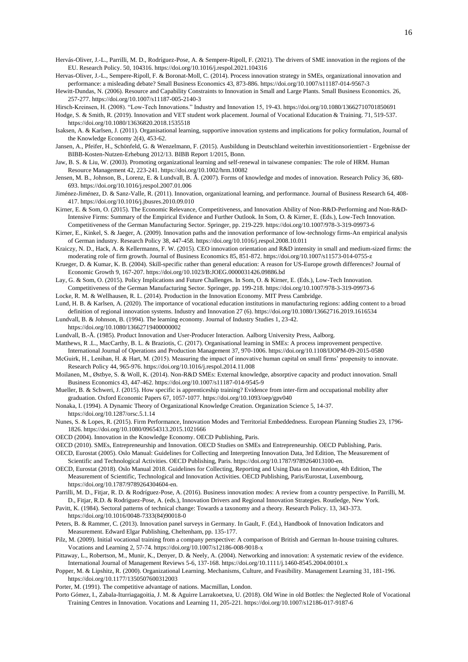- Hervas-Oliver, J.-L., Sempere-Ripoll, F. & Boronat-Moll, C. (2014). Process innovation strategy in SMEs, organizational innovation and performance: a misleading debate? Small Business Economics 43, 873-886. https://doi.org/10.1007/s11187-014-9567-3
- Hewitt-Dundas, N. (2006). Resource and Capability Constraints to Innovation in Small and Large Plants. Small Business Economics. 26, 257-277. https://doi.org/10.1007/s11187-005-2140-3
- Hirsch-Kreinsen, H. (2008). "Low-Tech Innovations." Industry and Innovation 15, 19-43. https://doi.org/10.1080/13662710701850691 Hodge, S. & Smith, R. (2019). Innovation and VET student work placement. Journal of Vocational Education & Training. 71, 519-537. https://doi.org/10.1080/13636820.2018.1535518
- Isaksen, A. & Karlsen, J. (2011). Organisational learning, supportive innovation systems and implications for policy formulation, Journal of the Knowledge Economy 2(4), 453-62.
- Jansen, A., Pfeifer, H., Schönfeld, G. & Wenzelmann, F. (2015). Ausbildung in Deutschland weiterhin investitionsorientiert Ergebnisse der BIBB-Kosten-Nutzen-Erhebung 2012/13. BIBB Report 1/2015, Bonn.
- Jaw, B. S. & Liu, W. (2003). Promoting organizational learning and self-renewal in taiwanese companies: The role of HRM. Human Resource Management 42, 223-241. https://doi.org/10.1002/hrm.10082
- Jensen, M. B., Johnson, B., Lorenz, E. & Lundvall, B. Å. (2007). Forms of knowledge and modes of innovation. Research Policy 36, 680- 693. https://doi.org/10.1016/j.respol.2007.01.006
- Jiménez-Jiménez, D. & Sanz-Valle, R. (2011). Innovation, organizational learning, and performance. Journal of Business Research 64, 408- 417. https://doi.org/10.1016/j.jbusres.2010.09.010
- Kirner, E. & Som, O. (2015). The Economic Relevance, Competitiveness, and Innovation Ability of Non-R&D-Performing and Non-R&D-Intensive Firms: Summary of the Empirical Evidence and Further Outlook. In Som, O. & Kirner, E. (Eds.), Low-Tech Innovation. Competitiveness of the German Manufacturing Sector. Springer, pp. 219-229. https://doi.org/10.1007/978-3-319-09973-6
- Kirner, E., Kinkel, S. & Jaeger, A. (2009). Innovation paths and the innovation performance of low-technology firms-An empirical analysis of German industry. Research Policy 38, 447-458. https://doi.org/10.1016/j.respol.2008.10.011
- Kraiczy, N. D., Hack, A. & Kellermanns, F. W. (2015). CEO innovation orientation and R&D intensity in small and medium-sized firms: the moderating role of firm growth. Journal of Business Economics 85, 851-872. https://doi.org/10.1007/s11573-014-0755-z
- Krueger, D. & Kumar, K. B. (2004). Skill-specific rather than general education: A reason for US-Europe growth differences? Journal of Economic Growth 9, 167-207. https://doi.org/10.1023/B:JOEG.0000031426.09886.bd
- Lay, G. & Som, O. (2015). Policy Implications and Future Challenges. In Som, O. & Kirner, E. (Eds.), Low-Tech Innovation. Competitiveness of the German Manufacturing Sector. Springer, pp. 199-218. https://doi.org/10.1007/978-3-319-09973-6
- Locke, R. M. & Wellhausen, R. L. (2014). Production in the Innovation Economy. MIT Press Cambridge.
- Lund, H. B. & Karlsen, A. (2020). The importance of vocational education institutions in manufacturing regions: adding content to a broad definition of regional innovation systems. Industry and Innovation 27 (6). https://doi.org/10.1080/13662716.2019.1616534
- Lundvall, B. & Johnson, B. (1994). The learning economy. Journal of Industry Studies 1, 23-42.
- https://doi.org/10.1080/13662719400000002
- Lundvall, B.-Å. (1985). Product Innovation and User-Producer Interaction. Aalborg University Press, Aalborg.
- Matthews, R .L., MacCarthy, B. L. & Braziotis, C. (2017). Organisational learning in SMEs: A process improvement perspective. International Journal of Operations and Production Management 37, 970-1006. https://doi.org/10.1108/IJOPM-09-2015-0580
- McGuirk, H., Lenihan, H. & Hart, M. (2015). Measuring the impact of innovative human capital on small firms' propensity to innovate. Research Policy 44, 965-976. https://doi.org/10.1016/j.respol.2014.11.008
- Moilanen, M., Østbye, S. & Woll, K. (2014). Non-R&D SMEs: External knowledge, absorptive capacity and product innovation. Small Business Economics 43, 447-462. https://doi.org/10.1007/s11187-014-9545-9
- Mueller, B. & Schweri, J. (2015). How specific is apprenticeship training? Evidence from inter-firm and occupational mobility after graduation. Oxford Economic Papers 67, 1057-1077. https://doi.org/10.1093/oep/gpv040
- Nonaka, I. (1994). A Dynamic Theory of Organizational Knowledge Creation. Organization Science 5, 14-37.
- https://doi.org/10.1287/orsc.5.1.14
- Nunes, S. & Lopes, R. (2015). Firm Performance, Innovation Modes and Territorial Embeddedness. European Planning Studies 23, 1796- 1826. https://doi.org/10.1080/09654313.2015.1021666
- OECD (2004). Innovation in the Knowledge Economy. OECD Publishing, Paris.
- OECD (2010). SMEs, Entrepreneurship and Innovation. OECD Studies on SMEs and Entrepreneurship. OECD Publishing, Paris.
- OECD, Eurostat (2005). Oslo Manual: Guidelines for Collecting and Interpreting Innovation Data, 3rd Edition, The Measurement of Scientific and Technological Activities. OECD Publishing, Paris. https://doi.org/10.1787/9789264013100-en.
- OECD, Eurostat (2018). Oslo Manual 2018. Guidelines for Collecting, Reporting and Using Data on Innovation, 4th Edition, The Measurement of Scientific, Technological and Innovation Activities. OECD Publishing, Paris/Eurostat, Luxembourg, https://doi.org/10.1787/9789264304604-en.
- Parrilli, M. D., Fitjar, R. D. & Rodríguez-Pose, A. (2016). Business innovation modes: A review from a country perspective. In Parrilli, M. D., Fitjar, R.D. & Rodriguez-Pose, A. (eds.), Innovation Drivers and Regional Innovation Strategies. Routledge, New York.
- Pavitt, K. (1984). Sectoral patterns of technical change: Towards a taxonomy and a theory. Research Policy. 13, 343-373. https://doi.org/10.1016/0048-7333(84)90018-0
- Peters, B. & Rammer, C. (2013). Innovation panel surveys in Germany. In Gault, F. (Ed.), Handbook of Innovation Indicators and Measurement. Edward Elgar Publishing, Cheltenham, pp. 135-177.
- Pilz, M. (2009). Initial vocational training from a company perspective: A comparison of British and German In-house training cultures. Vocations and Learning 2, 57-74. https://doi.org/10.1007/s12186-008-9018-x
- Pittaway, L., Robertson, M., Munir, K., Denyer, D. & Neely, A. (2004). Networking and innovation: A systematic review of the evidence. International Journal of Management Reviews 5-6, 137-168. https://doi.org/10.1111/j.1460-8545.2004.00101.x
- Popper, M. & Lipshitz, R. (2000). Organizational Learning. Mechanisms, Culture, and Feasibility. Management Learning 31, 181-196. https://doi.org/10.1177/1350507600312003
- Porter, M. (1991). The competitive advantage of nations. Macmillan, London.
- Porto Gómez, I., Zabala-Iturriagagoitia, J. M. & Aguirre Larrakoetxea, U. (2018). Old Wine in old Bottles: the Neglected Role of Vocational Training Centres in Innovation. Vocations and Learning 11, 205-221. https://doi.org/10.1007/s12186-017-9187-6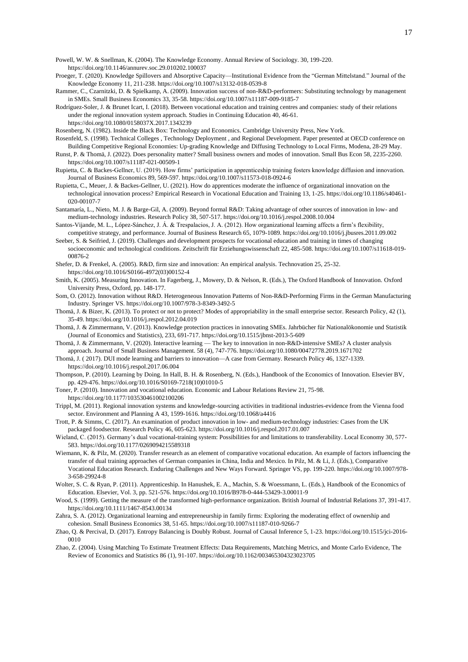Powell, W. W. & Snellman, K. (2004). The Knowledge Economy. Annual Review of Sociology. 30, 199-220. https://doi.org/10.1146/annurev.soc.29.010202.100037

- Proeger, T. (2020). Knowledge Spillovers and Absorptive Capacity—Institutional Evidence from the "German Mittelstand." Journal of the Knowledge Economy 11, 211-238. https://doi.org/10.1007/s13132-018-0539-8
- Rammer, C., Czarnitzki, D. & Spielkamp, A. (2009). Innovation success of non-R&D-performers: Substituting technology by management in SMEs. Small Business Economics 33, 35-58. https://doi.org/10.1007/s11187-009-9185-7
- Rodríguez-Soler, J. & Brunet Icart, I. (2018). Between vocational education and training centres and companies: study of their relations under the regional innovation system approach. Studies in Continuing Education 40, 46-61. https://doi.org/10.1080/0158037X.2017.1343239

Rosenberg, N. (1982). Inside the Black Box: Technology and Economics. Cambridge University Press, New York.

- Rosenfeld, S. (1998). Technical Colleges , Technology Deployment , and Regional Development. Paper presented at OECD conference on Building Competitive Regional Economies: Up-grading Knowledge and Diffusing Technology to Local Firms, Modena, 28-29 May.
- Runst, P. & Thomä, J. (2022). Does personality matter? Small business owners and modes of innovation. Small Bus Econ 58, 2235-2260. https://doi.org/10.1007/s11187-021-00509-1
- Rupietta, C. & Backes-Gellner, U. (2019). How firms' participation in apprenticeship training fosters knowledge diffusion and innovation. Journal of Business Economics 89, 569-597. https://doi.org/10.1007/s11573-018-0924-6
- Rupietta, C., Meuer, J. & Backes-Gellner, U. (2021). How do apprentices moderate the influence of organizational innovation on the technological innovation process? Empirical Research in Vocational Education and Training 13, 1-25. https://doi.org/10.1186/s40461- 020-00107-7
- Santamaría, L., Nieto, M. J. & Barge-Gil, A. (2009). Beyond formal R&D: Taking advantage of other sources of innovation in low- and medium-technology industries. Research Policy 38, 507-517. https://doi.org/10.1016/j.respol.2008.10.004
- Santos-Vijande, M. L., López-Sánchez, J. Á. & Trespalacios, J. A. (2012). How organizational learning affects a firm's flexibility, competitive strategy, and performance. Journal of Business Research 65, 1079-1089. https://doi.org/10.1016/j.jbusres.2011.09.002
- Seeber, S. & Seifried, J. (2019). Challenges and development prospects for vocational education and training in times of changing socioeconomic and technological conditions. Zeitschrift für Erziehungswissenschaft 22, 485-508. https://doi.org/10.1007/s11618-019- 00876-2

Shefer, D. & Frenkel, A. (2005). R&D, firm size and innovation: An empirical analysis. Technovation 25, 25-32. https://doi.org/10.1016/S0166-4972(03)00152-4

- Smith, K. (2005). Measuring Innovation. In Fagerberg, J., Mowery, D. & Nelson, R. (Eds.), The Oxford Handbook of Innovation. Oxford University Press, Oxford, pp. 148-177.
- Som, O. (2012). Innovation without R&D. Heterogeneous Innovation Patterns of Non-R&D-Performing Firms in the German Manufacturing Industry. Springer VS. https://doi.org/10.1007/978-3-8349-3492-5
- Thomä, J. & Bizer, K. (2013). To protect or not to protect? Modes of appropriability in the small enterprise sector. Research Policy, 42 (1), 35-49. https://doi.org/10.1016/j.respol.2012.04.019
- Thomä, J. & Zimmermann, V. (2013). Knowledge protection practices in innovating SMEs. Jahrbücher für Nationalökonomie und Statistik (Journal of Economics and Statistics), 233, 691-717. https://doi.org/10.1515/jbnst-2013-5-609
- Thomä, J. & Zimmermann, V. (2020). Interactive learning The key to innovation in non-R&D-intensive SMEs? A cluster analysis approach. Journal of Small Business Management. 58 (4), 747-776. https://doi.org/10.1080/00472778.2019.1671702

Thomä, J. ( 2017). DUI mode learning and barriers to innovation—A case from Germany. Research Policy 46, 1327-1339. https://doi.org/10.1016/j.respol.2017.06.004

- Thompson, P. (2010). Learning by Doing. In Hall, B. H. & Rosenberg, N. (Eds.), Handbook of the Economics of Innovation. Elsevier BV, pp. 429-476. https://doi.org/10.1016/S0169-7218(10)01010-5
- Toner, P. (2010). Innovation and vocational education. Economic and Labour Relations Review 21, 75-98. https://doi.org/10.1177/103530461002100206
- Trippl, M. (2011). Regional innovation systems and knowledge-sourcing activities in traditional industries-evidence from the Vienna food sector. Environment and Planning A 43, 1599-1616. https://doi.org/10.1068/a4416
- Trott, P. & Simms, C. (2017). An examination of product innovation in low- and medium-technology industries: Cases from the UK packaged foodsector. Research Policy 46, 605-623. https://doi.org/10.1016/j.respol.2017.01.007
- Wieland, C. (2015). Germany's dual vocational-training system: Possibilities for and limitations to transferability. Local Economy 30, 577- 583. https://doi.org/10.1177/0269094215589318
- Wiemann, K. & Pilz, M. (2020). Transfer research as an element of comparative vocational education. An example of factors influencing the transfer of dual training approaches of German companies in China, India and Mexico. In Pilz, M. & Li, J. (Eds.), Comparative Vocational Education Research. Enduring Challenges and New Ways Forward. Springer VS, pp. 199-220. https://doi.org/10.1007/978- 3-658-29924-8
- Wolter, S. C. & Ryan, P. (2011). Apprenticeship. In Hanushek, E. A., Machin, S. & Woessmann, L. (Eds.), Handbook of the Economics of Education. Elsevier, Vol. 3, pp. 521-576. https://doi.org/10.1016/B978-0-444-53429-3.00011-9
- Wood, S. (1999). Getting the measure of the transformed high-performance organization. British Journal of Industrial Relations 37, 391-417. https://doi.org/10.1111/1467-8543.00134
- Zahra, S. A. (2012). Organizational learning and entrepreneurship in family firms: Exploring the moderating effect of ownership and cohesion. Small Business Economics 38, 51-65. https://doi.org/10.1007/s11187-010-9266-7
- Zhao, Q. & Percival, D. (2017). Entropy Balancing is Doubly Robust. Journal of Causal Inference 5, 1-23. https://doi.org/10.1515/jci-2016- 0010
- Zhao, Z. (2004). Using Matching To Estimate Treatment Effects: Data Requirements, Matching Metrics, and Monte Carlo Evidence, The Review of Economics and Statistics 86 (1), 91-107. https://doi.org/10.1162/003465304323023705